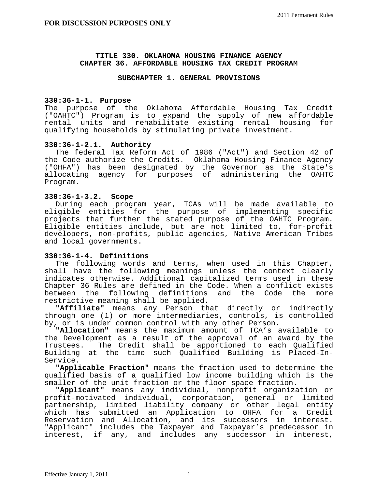#### **TITLE 330. OKLAHOMA HOUSING FINANCE AGENCY CHAPTER 36. AFFORDABLE HOUSING TAX CREDIT PROGRAM**

## **SUBCHAPTER 1. GENERAL PROVISIONS**

# **330:36-1-1. Purpose**

The purpose of the Oklahoma Affordable Housing Tax Credit ("OAHTC") Program is to expand the supply of new affordable rental units and rehabilitate existing rental housing for qualifying households by stimulating private investment.

## **330:36-1-2.1. Authority**

 The federal Tax Reform Act of 1986 ("Act") and Section 42 of the Code authorize the Credits. Oklahoma Housing Finance Agency ("OHFA") has been designated by the Governor as the State's allocating agency for purposes of administering the OAHTC Program.

## **330:36-1-3.2. Scope**

 During each program year, TCAs will be made available to eligible entities for the purpose of implementing specific projects that further the stated purpose of the OAHTC Program. Eligible entities include, but are not limited to, for-profit developers, non-profits, public agencies, Native American Tribes and local governments.

## **330:36-1-4. Definitions**

 The following words and terms, when used in this Chapter, shall have the following meanings unless the context clearly indicates otherwise. Additional capitalized terms used in these Chapter 36 Rules are defined in the Code. When a conflict exists between the following definitions and the Code the more restrictive meaning shall be applied.

 **"Affiliate"** means any Person that directly or indirectly through one (1) or more intermediaries, controls, is controlled by, or is under common control with any other Person.

 **"Allocation"** means the maximum amount of TCA's available to the Development as a result of the approval of an award by the Trustees. The Credit shall be apportioned to each Qualified Building at the time such Qualified Building is Placed-In-Service.

 **"Applicable Fraction"** means the fraction used to determine the qualified basis of a qualified low income building which is the smaller of the unit fraction or the floor space fraction.

 **"Applicant"** means any individual, nonprofit organization or profit-motivated individual, corporation, general or limited partnership, limited liability company or other legal entity which has submitted an Application to OHFA for a Credit Reservation and Allocation, and its successors in interest. "Applicant" includes the Taxpayer and Taxpayer's predecessor in interest, if any, and includes any successor in interest,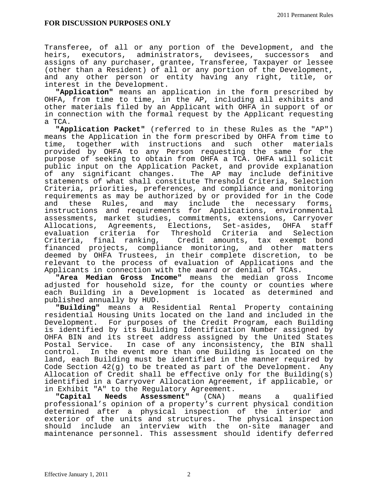Transferee, of all or any portion of the Development, and the heirs, executors, administrators, devisees, successors and assigns of any purchaser, grantee, Transferee, Taxpayer or lessee (other than a Resident) of all or any portion of the Development, and any other person or entity having any right, title, or interest in the Development.

 **"Application"** means an application in the form prescribed by OHFA, from time to time, in the AP, including all exhibits and other materials filed by an Applicant with OHFA in support of or in connection with the formal request by the Applicant requesting a TCA.

 **"Application Packet"** (referred to in these Rules as the "AP") means the Application in the form prescribed by OHFA from time to time, together with instructions and such other materials provided by OHFA to any Person requesting the same for the purpose of seeking to obtain from OHFA a TCA. OHFA will solicit public input on the Application Packet, and provide explanation of any significant changes. The AP may include definitive statements of what shall constitute Threshold Criteria, Selection Criteria, priorities, preferences, and compliance and monitoring requirements as may be authorized by or provided for in the Code and these Rules, and may include the necessary forms, instructions and requirements for Applications, environmental assessments, market studies, commitments, extensions, Carryover Allocations, Agreements, Elections, Set-asides, OHFA staff evaluation criteria for Threshold Criteria and Selection Criteria, final ranking, Credit amounts, tax exempt bond financed projects, compliance monitoring, and other matters deemed by OHFA Trustees, in their complete discretion, to be relevant to the process of evaluation of Applications and the Applicants in connection with the award or denial of TCAs.

 **"Area Median Gross Income"** means the median gross Income adjusted for household size, for the county or counties where each Building in a Development is located as determined and published annually by HUD.

 **"Building"** means a Residential Rental Property containing residential Housing Units located on the land and included in the Development. For purposes of the Credit Program, each Building is identified by its Building Identification Number assigned by OHFA BIN and its street address assigned by the United States Postal Service. In case of any inconsistency, the BIN shall control. In the event more than one Building is located on the land, each Building must be identified in the manner required by Code Section 42(g) to be treated as part of the Development. Any Allocation of Credit shall be effective only for the Building(s) identified in a Carryover Allocation Agreement, if applicable, or in Exhibit "A" to the Regulatory Agreement.<br>"Capital Needs Assessment" (CNA) means

**Assessment"** (CNA) means a qualified professional's opinion of a property's current physical condition determined after a physical inspection of the interior and exterior of the units and structures. The physical inspection should include an interview with the on-site manager and maintenance personnel. This assessment should identify deferred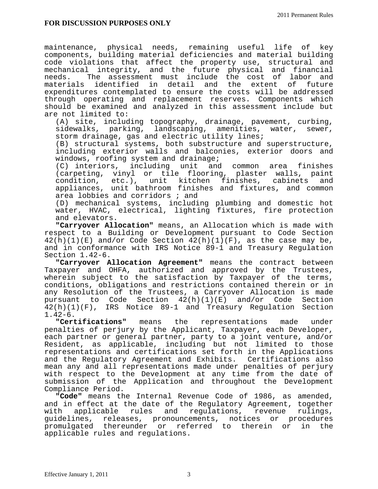maintenance, physical needs, remaining useful life of key components, building material deficiencies and material building code violations that affect the property use, structural and mechanical integrity, and the future physical and financial needs. The assessment must include the cost of labor and materials identified in detail and the extent of future expenditures contemplated to ensure the costs will be addressed through operating and replacement reserves. Components which should be examined and analyzed in this assessment include but are not limited to:

 (A) site, including topography, drainage, pavement, curbing, sidewalks, parking, landscaping, amenities, water, sewer, storm drainage, gas and electric utility lines;

 (B) structural systems, both substructure and superstructure, including exterior walls and balconies, exterior doors and windows, roofing system and drainage;

 (C) interiors, including unit and common area finishes (carpeting, vinyl or tile flooring, plaster walls, paint condition, etc.), unit kitchen finishes, cabinets and appliances, unit bathroom finishes and fixtures, and common area lobbies and corridors ; and

 (D) mechanical systems, including plumbing and domestic hot water, HVAC, electrical, lighting fixtures, fire protection and elevators.

 **"Carryover Allocation"** means, an Allocation which is made with respect to a Building or Development pursuant to Code Section  $42(h)(1)(E)$  and/or Code Section  $42(h)(1)(F)$ , as the case may be, and in conformance with IRS Notice 89-1 and Treasury Regulation Section 1.42-6.

 **"Carryover Allocation Agreement"** means the contract between Taxpayer and OHFA, authorized and approved by the Trustees, wherein subject to the satisfaction by Taxpayer of the terms, conditions, obligations and restrictions contained therein or in any Resolution of the Trustees, a Carryover Allocation is made pursuant to Code Section 42(h)(1)(E) and/or Code Section 42(h)(1)(F), IRS Notice 89-1 and Treasury Regulation Section

1.42-6.<br>"Certifications" means the representations made under penalties of perjury by the Applicant, Taxpayer, each Developer, each partner or general partner, party to a joint venture, and/or Resident, as applicable, including but not limited to those representations and certifications set forth in the Applications and the Regulatory Agreement and Exhibits. Certifications also mean any and all representations made under penalties of perjury with respect to the Development at any time from the date of submission of the Application and throughout the Development Compliance Period.

 **"Code"** means the Internal Revenue Code of 1986, as amended, and in effect at the date of the Regulatory Agreement, together with applicable rules and regulations, revenue rulings, guidelines, releases, pronouncements, notices or procedures promulgated thereunder or referred to therein or in the applicable rules and regulations.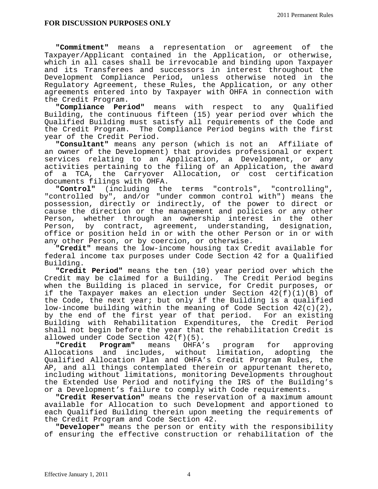**"Commitment"** means a representation or agreement of the Taxpayer/Applicant contained in the Application, or otherwise, which in all cases shall be irrevocable and binding upon Taxpayer and its Transferees and successors in interest throughout the Development Compliance Period, unless otherwise noted in the Regulatory Agreement, these Rules, the Application, or any other agreements entered into by Taxpayer with OHFA in connection with the Credit Program.

 **"Compliance Period"** means with respect to any Qualified Building, the continuous fifteen (15) year period over which the Qualified Building must satisfy all requirements of the Code and the Credit Program. The Compliance Period begins with the first year of the Credit Period.

**"Consultant"** means any person (which is not an Affiliate of an owner of the Development) that provides professional or expert services relating to an Application, a Development, or any activities pertaining to the filing of an Application, the award of a TCA, the Carryover Allocation, or cost certification documents filings with OHFA.

 **"Control"** (including the terms "controls", "controlling", "controlled by", and/or "under common control with") means the possession, directly or indirectly, of the power to direct or cause the direction or the management and policies or any other Person, whether through an ownership interest in the other Person, by contract, agreement, understanding, designation, office or position held in or with the other Person or in or with any other Person, or by coercion, or otherwise.

 **"Credit"** means the low-income housing tax Credit available for federal income tax purposes under Code Section 42 for a Qualified Building.

 **"Credit Period"** means the ten (10) year period over which the Credit may be claimed for a Building. The Credit Period begins when the Building is placed in service, for Credit purposes, or if the Taxpayer makes an election under Section 42(f)(1)(B) of the Code, the next year; but only if the Building is a qualified low-income building within the meaning of Code Section  $42(c)(2)$ , by the end of the first year of that period. For an existing Building with Rehabilitation Expenditures, the Credit Period shall not begin before the year that the rehabilitation Credit is allowed under Code Section  $42(f)(5)$ .

 **"Credit Program"** means OHFA's program for approving Allocations and includes, without limitation, adopting the Qualified Allocation Plan and OHFA's Credit Program Rules, the AP, and all things contemplated therein or appurtenant thereto, including without limitations, monitoring Developments throughout the Extended Use Period and notifying the IRS of the Building's or a Development's failure to comply with Code requirements.

 **"Credit Reservation"** means the reservation of a maximum amount available for Allocation to such Development and apportioned to each Qualified Building therein upon meeting the requirements of the Credit Program and Code Section 42.

 **"Developer"** means the person or entity with the responsibility of ensuring the effective construction or rehabilitation of the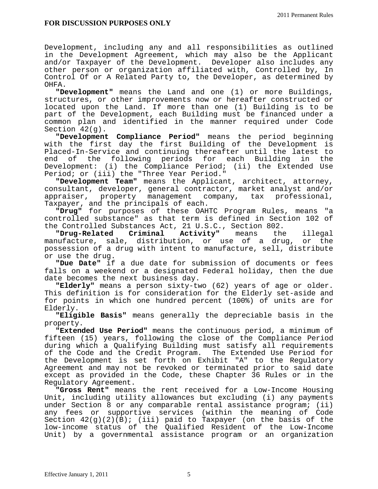Development, including any and all responsibilities as outlined in the Development Agreement, which may also be the Applicant and/or Taxpayer of the Development. Developer also includes any other person or organization affiliated with, Controlled by, In Control Of or A Related Party to, the Developer, as determined by OHFA.

 **"Development"** means the Land and one (1) or more Buildings, structures, or other improvements now or hereafter constructed or located upon the Land. If more than one (1) Building is to be part of the Development, each Building must be financed under a common plan and identified in the manner required under Code Section 42(g).

 **"Development Compliance Period"** means the period beginning with the first day the first Building of the Development is Placed-In-Service and continuing thereafter until the latest to end of the following periods for each Building in the Development: (i) the Compliance Period; (ii) the Extended Use Period; or (iii) the "Three Year Period."

 **"Development Team"** means the Applicant, architect, attorney, consultant, developer, general contractor, market analyst and/or appraiser, property management company, tax professional, Taxpayer, and the principals of each.

 **"Drug"** for purposes of these OAHTC Program Rules, means "a controlled substance" as that term is defined in Section 102 of the Controlled Substances Act, 21 U.S.C., Section 802.<br>"Drug-Related Criminal Activity" means the

**"Drug-Related Criminal Activity"** means the illegal manufacture, sale, distribution, or use of a drug, or the possession of a drug with intent to manufacture, sell, distribute or use the drug.

 **"Due Date"** if a due date for submission of documents or fees falls on a weekend or a designated Federal holiday, then the due date becomes the next business day.

 **"Elderly"** means a person sixty-two (62) years of age or older. This definition is for consideration for the Elderly set-aside and for points in which one hundred percent (100%) of units are for

Elderly. **"Eligible Basis"** means generally the depreciable basis in the property.

**"Extended Use Period"** means the continuous period, a minimum of fifteen (15) years, following the close of the Compliance Period during which a Qualifying Building must satisfy all requirements of the Code and the Credit Program. The Extended Use Period for the Development is set forth on Exhibit "A" to the Regulatory Agreement and may not be revoked or terminated prior to said date except as provided in the Code, these Chapter 36 Rules or in the Regulatory Agreement.

**"Gross Rent"** means the rent received for a Low-Income Housing Unit, including utility allowances but excluding (i) any payments under Section 8 or any comparable rental assistance program; (ii) any fees or supportive services (within the meaning of Code Section  $42(g)(2)(\overline{B})$ ; (iii) paid to Taxpayer (on the basis of the low-income status of the Qualified Resident of the Low-Income Unit) by a governmental assistance program or an organization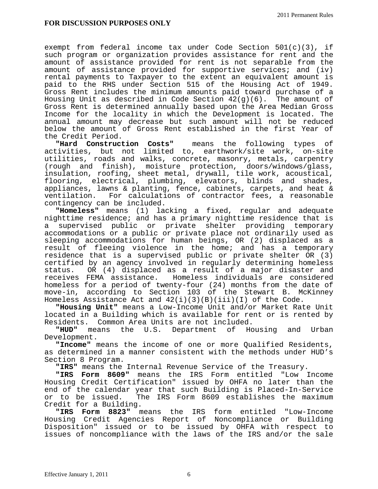exempt from federal income tax under Code Section 501(c)(3), if such program or organization provides assistance for rent and the amount of assistance provided for rent is not separable from the amount of assistance provided for supportive services; and (iv) rental payments to Taxpayer to the extent an equivalent amount is paid to the RHS under Section 515 of the Housing Act of 1949. Gross Rent includes the minimum amounts paid toward purchase of a Housing Unit as described in Code Section  $42(g)(6)$ . The amount of Gross Rent is determined annually based upon the Area Median Gross Income for the locality in which the Development is located. The annual amount may decrease but such amount will not be reduced below the amount of Gross Rent established in the first Year of the Credit Period.

**"Hard Construction Costs"** means the following types of activities, but not limited to, earthwork/site work, on-site utilities, roads and walks, concrete, masonry, metals, carpentry (rough and finish), moisture protection, doors/windows/glass, insulation, roofing, sheet metal, drywall, tile work, acoustical, flooring, electrical, plumbing, elevators, blinds and shades, appliances, lawns & planting, fence, cabinets, carpets, and heat & ventilation. For calculations of contractor fees, a reasonable contingency can be included.

 **"Homeless"** means (1) lacking a fixed, regular and adequate nighttime residence; and has a primary nighttime residence that is a supervised public or private shelter providing temporary accommodations or a public or private place not ordinarily used as sleeping accommodations for human beings, OR (2) displaced as a result of fleeing violence in the home; and has a temporary residence that is a supervised public or private shelter OR (3) certified by an agency involved in regularly determining homeless status. OR (4) displaced as a result of a major disaster and receives FEMA assistance. Homeless individuals are considered homeless for a period of twenty-four (24) months from the date of move-in, according to Section 103 of the Stewart B. McKinney Homeless Assistance Act and 42(i)(3)(B)(iii)(I) of the Code.

 **"Housing Unit"** means a Low-Income Unit and/or Market Rate Unit located in a Building which is available for rent or is rented by Residents. Common Area Units are not included.<br>"HUD" means the U.S. Department of Housing and Urban

means the U.S. Department Development.

 **"Income"** means the income of one or more Qualified Residents, as determined in a manner consistent with the methods under HUD's Section 8 Program.

 **"IRS"** means the Internal Revenue Service of the Treasury.

 **"IRS Form 8609"** means the IRS Form entitled "Low Income Housing Credit Certification" issued by OHFA no later than the end of the calendar year that such Building is Placed-In-Service<br>or to be issued. The IRS Form 8609 establishes the maximum The IRS Form 8609 establishes the maximum Credit for a Building.

 **"IRS Form 8823"** means the IRS form entitled "Low-Income Housing Credit Agencies Report of Noncompliance or Building Disposition" issued or to be issued by OHFA with respect to issues of noncompliance with the laws of the IRS and/or the sale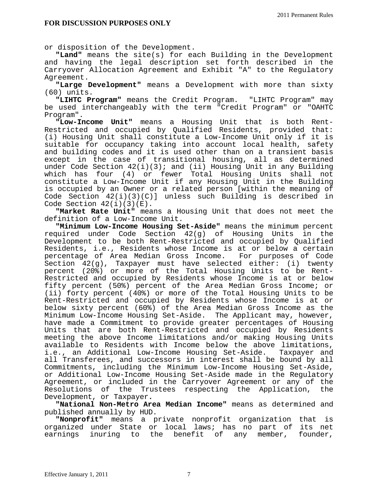or disposit ion of the Development.

 **"Land"** means the site(s) for each Building in the Development and having the legal description set forth described in the Carryover Allocation Agreement and Exhibit "A" to the Regulatory Agreement.

 **"Large Development"** means a Development with more than sixty (60) units.

 **"LIHTC Program"** means the Credit Program. "LIHTC Program" may be used interchangeably with the term "Credit Program" or "OAHTC Program".

 **"Low-Income Unit"** means a Housing Unit that is both Rent-Restricted and occupied by Qualified Residents, provided that: (i) Housing Unit shall constitute a Low-Income Unit only if it is suitable for occupancy taking into account local health, safety and building codes and it is used other than on a transient basis except in the case of transitional housing, all as determined under Code Section 42(i)(3); and (ii) Housing Unit in any Building which has four (4) or fewer Total Housing Units shall not constitute a Low-Income Unit if any Housing Unit in the Building is occupied by an Owner or a related person [within the meaning of Code Section  $42(i)(3)(C)$  unless such Building is described in Code Section  $42(i)(3)(E)$ .

 **"Market Rate Unit"** means a Housing Unit that does not meet the definition of a Low-Income Unit.

**"Minimum Low-Income Housing Set-Aside"** means the minimum percent required under Code Section 42(g) of Housing Units in the Development to be both Rent-Restricted and occupied by Qualified Residents, i.e., Residents whose Income is at or below a certain percentage of Area Median Gross Income. For purposes of Code Section 42(g), Taxpayer must have selected either: (i) twenty percent (20%) or more of the Total Housing Units to be Rent-Restricted and occupied by Residents whose Income is at or below fifty percent (50%) percent of the Area Median Gross Income; or (ii) forty percent (40%) or more of the Total Housing Units to be Rent-Restricted and occupied by Residents whose Income is at or below sixty percent (60%) of the Area Median Gross Income as the Minimum Low-Income Housing Set-Aside. The Applicant may, however, have made a Commitment to provide greater percentages of Housing Units that are both Rent-Restricted and occupied by Residents meeting the above Income limitations and/or making Housing Units available to Residents with Income below the above limitations, i.e., an Additional Low-Income Housing Set-Aside. Taxpayer and all Transferees, and successors in interest shall be bound by all Commitments, including the Minimum Low-Income Housing Set-Aside, or Additional Low-Income Housing Set-Aside made in the Regulatory Agreement, or included in the Carryover Agreement or any of the Resolutions of the Trustees respecting the Application, the Development, or Taxpayer**.** 

 **"National Non-Metro Area Median Income"** means as determined and published annually by HUD.

**"Nonprofit"** means a private nonprofit organization that is organized under State or local laws; has no part of its net earnings inuring to the benefit of any member, founder,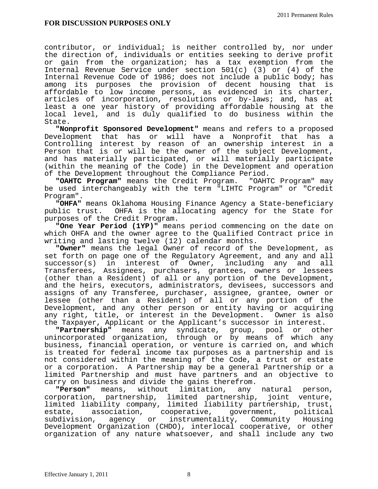contributor, or individual; is neither controlled by, nor under the direction of, individuals or entities seeking to derive profit or gain from the organization; has a tax exemption from the Internal Revenue Service under section 501(c) (3) or (4) of the Internal Revenue Code of 1986; does not include a public body; has among its purposes the provision of decent housing that is affordable to low income persons, as evidenced in its charter, articles of incorporation, resolutions or by-laws; and, has at least a one year history of providing affordable housing at the local level, and is duly qualified to do business within the State.

 **"Nonprofit Sponsored Development"** means and refers to a proposed Development that has or will have a Nonprofit that has a Controlling interest by reason of an ownership interest in a Person that is or will be the owner of the subject Development, and has materially participated, or will materially participate (within the meaning of the Code) in the Development and operation of the Development throughout the Compliance Period.

 **"OAHTC Program"** means the Credit Program. "OAHTC Program" may be used interchangeably with the term "LIHTC Program" or "Credit Program".

 **"OHFA"** means Oklahoma Housing Finance Agency a State-beneficiary public trust. OHFA is the allocating agency for the State for purposes of the Credit Program.

 **"One Year Period (1YP)"** means period commencing on the date on which OHFA and the owner agree to the Qualified Contract price in writing and lasting twelve (12) calendar months.

 **"Owner"** means the legal Owner of record of the Development, as set forth on page one of the Regulatory Agreement, and any and all successor(s) in interest of Owner, including any and all Transferees, Assignees, purchasers, grantees, owners or lessees (other than a Resident) of all or any portion of the Development, and the heirs, executors, administrators, devisees, successors and assigns of any Transferee, purchaser, assignee, grantee, owner or lessee (other than a Resident) of all or any portion of the Development, and any other person or entity having or acquiring any right, title, or interest in the Development. Owner is also the Taxpayer, Applicant or the Applicant's successor in interest.

 **"Partnership"** means any syndicate, group, pool or other unincorporated organization, through or by means of which any business, financial operation, or venture is carried on, and which is treated for federal income tax purposes as a partnership and is not considered within the meaning of the Code, a trust or estate or a corporation. A Partnership may be a general Partnership or a limited Partnership and must have partners and an objective to carry on business and divide the gains therefrom.

 **"Person"** means, without limitation, any natural person, corporation, partnership, limited partnership, joint venture, limited liability company, limited liability partnership, trust, estate, association, cooperative, government, political subdivision, agency or instrumentality, Community Housing Development Organization (CHDO), interlocal cooperative, or other organization of any nature whatsoever, and shall include any two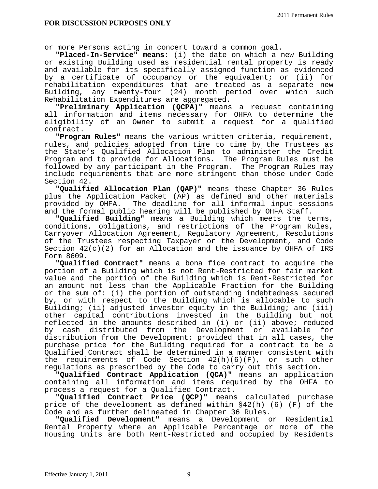or more Persons acting in concer t toward a common goal.

 **"Placed-In-Service" means:** (i) the date on which a new Building or existing Building used as residential rental property is ready and available for its specifically assigned function as evidenced by a certificate of occupancy or the equivalent; or (ii) for rehabilitation expenditures that are treated as a separate new Building, any twenty-four (24) month period over which such Rehabilitation Expenditures are aggregated.

 **"Preliminary Application (QCPA)"** means a request containing all information and items necessary for OHFA to determine the eligibility of an Owner to submit a request for a qualified contract.

 **"Program Rules"** means the various written criteria, requirement, rules, and policies adopted from time to time by the Trustees as the State's Qualified Allocation Plan to administer the Credit Program and to provide for Allocations. The Program Rules must be followed by any participant in the Program. The Program Rules may include requirements that are more stringent than those under Code Section 42.

 **"Qualified Allocation Plan (QAP)"** means these Chapter 36 Rules plus the Application Packet (AP) as defined and other materials<br>provided by OHFA. The deadline for all informal input sessions The deadline for all informal input sessions and the formal public hearing will be published by OHFA Staff.

 **"Qualified Building"** means a Building which meets the terms, conditions, obligations, and restrictions of the Program Rules, Carryover Allocation Agreement, Regulatory Agreement, Resolutions of the Trustees respecting Taxpayer or the Development, and Code Section  $42(c)(2)$  for an Allocation and the issuance by OHFA of IRS Form 8609.

 **"Qualified Contract"** means a bona fide contract to acquire the portion of a Building which is not Rent-Restricted for fair market value and the portion of the Building which is Rent-Restricted for an amount not less than the Applicable Fraction for the Building or the sum of: (i) the portion of outstanding indebtedness secured by, or with respect to the Building which is allocable to such Building; (ii) adjusted investor equity in the Building; and (iii) other capital contributions invested in the Building but not reflected in the amounts described in (i) or (ii) above; reduced by cash distributed from the Development or available for distribution from the Development; provided that in all cases, the purchase price for the Building required for a contract to be a Qualified Contract shall be determined in a manner consistent with the requirements of Code Section  $42(h)(6)(F)$ , or such other regulations as prescribed by the Code to carry out this section.

 **"Qualified Contract Application (QCA)"** means an application containing all information and items required by the OHFA to process a request for a Qualified Contract.

 **"Qualified Contract Price (QCP)"** means calculated purchase price of the development as defined within §42(h) (6) (F) of the Code and as further delineated in Chapter 36 Rules.

 **"Qualified Development"** means a Development or Residential Rental Property where an Applicable Percentage or more of the Housing Units are both Rent-Restricted and occupied by Residents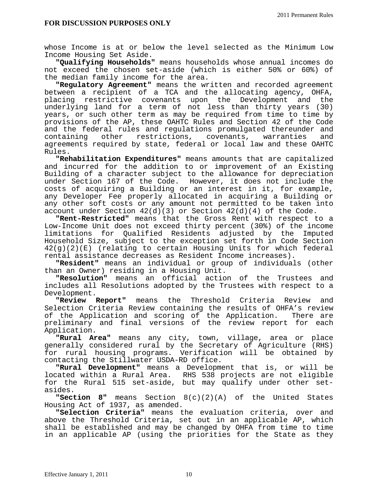whose Income is at or below the level selected as the Minimum Low Income Housing Set Aside.

 **"Qualifying Households"** means households whose annual incomes do not exceed the chosen set-aside (which is either 50% or 60%) of the median family income for the area.

 **"Regulatory Agreement"** means the written and recorded agreement between a recipient of a TCA and the allocating agency, OHFA, placing restrictive covenants upon the Development and the underlying land for a term of not less than thirty years (30) years, or such other term as may be required from time to time by provisions of the AP, these OAHTC Rules and Section 42 of the Code and the federal rules and regulations promulgated thereunder and containing other restrictions, covenants, warranties and agreements required by state, federal or local law and these OAHTC Rules.

 **"Rehabilitation Expenditures"** means amounts that are capitalized and incurred for the addition to or improvement of an Existing Building of a character subject to the allowance for depreciation under Section 167 of the Code. However, it does not include the costs of acquiring a Building or an interest in it, for example, any Developer Fee properly allocated in acquiring a Building or any other soft costs or any amount not permitted to be taken into account under Section  $42(d)(3)$  or Section  $42(d)(4)$  of the Code.

 **"Rent-Restricted"** means that the Gross Rent with respect to a Low-Income Unit does not exceed thirty percent (30%) of the income limitations for Qualified Residents adjusted by the Imputed Household Size, subject to the exception set forth in Code Section 42(g)(2)(E) (relating to certain Housing Units for which federal rental assistance decreases as Resident Income increases).

 **"Resident"** means an individual or group of individuals (other than an Owner) residing in a Housing Unit. **"Resolution"** means an official action of the Trustees and

includes all Resolutions adopted by the Trustees with respect to a Development.

 **"Review Report"** means the Threshold Criteria Review and Selection Criteria Review containing the results of OHFA's review of the Application and scoring of the Application. There are preliminary and final versions of the review report for each Application.

 **"Rural Area"** means any city, town, village, area or place generally considered rural by the Secretary of Agriculture (RHS) for rural housing programs. Verification will be obtained by contacting the Stillwater USDA-RD office.

 **"Rural Development"** means a Development that is, or will be located within a Rural Area. RHS 538 projects are not eligible for the Rural 515 set-aside, but may qualify under other setasides.

 **"Section 8"** means Section 8(c)(2)(A) of the United States Housing Act of 1937, as amended.

 **"Selection Criteria"** means the evaluation criteria, over and above the Threshold Criteria, set out in an applicable AP, which shall be established and may be changed by OHFA from time to time in an applicable AP (using the priorities for the State as they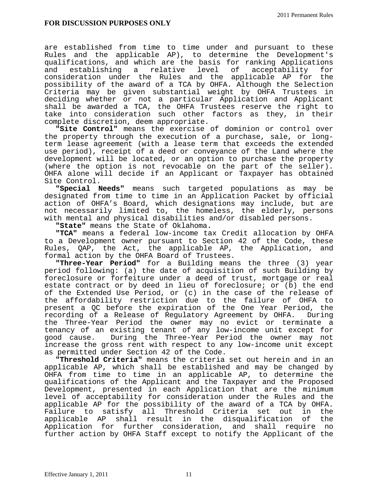are established from time to time under and pursuant to these Rules and the applicable AP), to determine the Development's qualifications, and which are the basis for ranking Applications and establishing a relative level of acceptability for consideration under the Rules and the applicable AP for the possibility of the award of a TCA by OHFA. Although the Selection Criteria may be given substantial weight by OHFA Trustees in deciding whether or not a particular Application and Applicant shall be awarded a TCA, the OHFA Trustees reserve the right to take into consideration such other factors as they, in their complete discretion, deem appropriate.

 **"Site Control"** means the exercise of dominion or control over the property through the execution of a purchase, sale, or longterm lease agreement (with a lease term that exceeds the extended use period), receipt of a deed or conveyance of the Land where the development will be located, or an option to purchase the property (where the option is not revocable on the part of the seller). OHFA alone will decide if an Applicant or Taxpayer has obtained Site Control.

 **"Special Needs"** means such targeted populations as may be designated from time to time in an Application Packet by official action of OHFA's Board, which designations may include, but are not necessarily limited to, the homeless, the elderly, persons with mental and physical disabilities and/or disabled persons.

 **"State"** means the State of Oklahoma**.** 

 **"TCA"** means a federal low-income tax Credit allocation by OHFA to a Development owner pursuant to Section 42 of the Code, these Rules, QAP, the Act, the applicable AP, the Application, and formal action by the OHFA Board of Trustees.

 **"Three-Year Period"** for a Building means the three (3) year period following: (a) the date of acquisition of such Building by foreclosure or forfeiture under a deed of trust, mortgage or real estate contract or by deed in lieu of foreclosure; or (b) the end of the Extended Use Period, or (c) in the case of the release of the affordability restriction due to the failure of OHFA to present a QC before the expiration of the One Year Period, the recording of a Release of Regulatory Agreement by OHFA. During the Three-Year Period the owner may no evict or terminate a tenancy of an existing tenant of any low-income unit except for good cause. During the Three-Year Period the owner may not increase the gross rent with respect to any low-income unit except as permitted under Section 42 of the Code.

 **"Threshold Criteria"** means the criteria set out herein and in an applicable AP, which shall be established and may be changed by OHFA from time to time in an applicable AP, to determine the qualifications of the Applicant and the Taxpayer and the Proposed Development, presented in each Application that are the minimum level of acceptability for consideration under the Rules and the applicable AP for the possibility of the award of a TCA by OHFA. Failure to satisfy all Threshold Criteria set out in the applicable AP shall result in the disqualification of the Application for further consideration, and shall require no further action by OHFA Staff except to notify the Applicant of the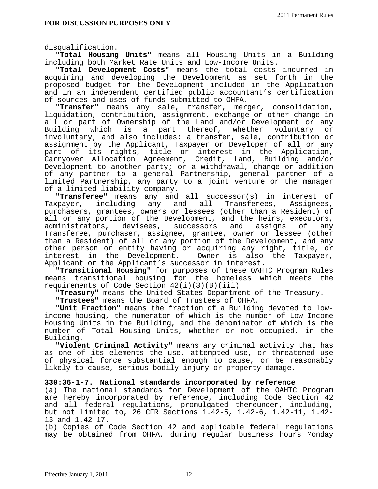disqualification.

 **"Total Housing Units"** means all Housing Units in a Building including both Market Rate Units and Low-Income Units.

 **"Total Development Costs"** means the total costs incurred in acquiring and developing the Development as set forth in the proposed budget for the Development included in the Application and in an independent certified public accountant's certification<br>of sources and uses of funds submitted to OHFA.

"Transfer" means any sale, transfer, merger, consolidation, liquidation, contribution, assignment, exchange or other change in all or part of Ownership of the Land and/or Development or any Building which is a part thereof, whether voluntary or involuntary, and also includes: a transfer, sale, contribution or assignment by the Applicant, Taxpayer or Developer of all or any part of its rights, title or interest in the Application, Carryover Allocation Agreement, Credit, Land, Building and/or Development to another party; or a withdrawal, change or addition of any partner to a general Partnership, general partner of a limited Partnership, any party to a joint venture or the manager of a limited liability company.

 **"Transferee"** means any and all successor(s) in interest of Taxpayer, including any and all purchasers, grantees, owners or lessees (other than a Resident) of all or any portion of the Development, and the heirs, executors, administrators, devisees, successors and assigns of any Transferee, purchaser, assignee, grantee, owner or lessee (other than a Resident) of all or any portion of the Development, and any other person or entity having or acquiring any right, title, or interest in the Development. Owner is also the Taxpayer, Applicant or the Applicant's successor in interest.

 **"Transitional Housing"** for purposes of these OAHTC Program Rules means transitional housing for the homeless which meets the requirements of Code Section  $42(i)(3)(B)(iii)$ 

 **"Treasury"** means the United States Department of the Treasury.

 **"Trustees"** means the Board of Trustees of OHFA.

**"Unit Fraction"** means the fraction of a Building devoted to lowincome housing, the numerator of which is the number of Low-Income Housing Units in the Building, and the denominator of which is the number of Total Housing Units, whether or not occupied, in the Building.

 **"Violent Criminal Activity"** means any criminal activity that has as one of its elements the use, attempted use, or threatened use of physical force substantial enough to cause, or be reasonably likely to cause, serious bodily injury or property damage.

## **330:36-1-7. National standards incorporated by reference**

(a) The national standards for Development of the OAHTC Program are hereby incorporated by reference, including Code Section 42 and all federal regulations, promulgated thereunder, including, but not limited to, 26 CFR Sections 1.42-5, 1.42-6, 1.42-11, 1.42- 13 and 1.42-17.

(b) Copies of Code Section 42 and applicable federal regulations may be obtained from OHFA, during regular business hours Monday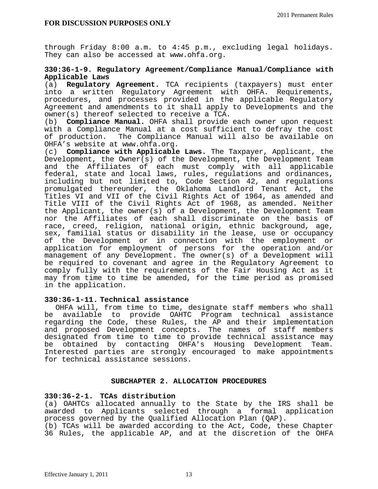through Friday 8:00 a.m. to 4:45 p.m., excluding legal holidays. They can also be accessed at www.ohfa.org.

## **330:36-1-9. Regulatory Agreement/Compliance Manual/Compliance with Applicable Laws**

(a) **Regulatory Agreement.** TCA recipients (taxpayers) must enter into a written Regulatory Agreement with OHFA. Requirements, procedures, and processes provided in the applicable Regulatory Agreement and amendments to it shall apply to Developments and the owner(s) thereof selected to receive a TCA.

(b) **Compliance Manual.** OHFA shall provide each owner upon request with a Compliance Manual at a cost sufficient to defray the cost of production. The Compliance Manual will also be available on OHFA's website at www.ohfa.org.

(c) **Compliance with Applicable Laws.** The Taxpayer, Applicant, the Development, the Owner(s) of the Development, the Development Team and the Affiliates of each must comply with all applicable federal, state and local laws, rules, regulations and ordinances, including but not limited to, Code Section 42, and regulations promulgated thereunder, the Oklahoma Landlord Tenant Act, the Titles VI and VII of the Civil Rights Act of 1964, as amended and Title VIII of the Civil Rights Act of 1968, as amended. Neither the Applicant, the owner(s) of a Development, the Development Team nor the Affiliates of each shall discriminate on the basis of race, creed, religion, national origin, ethnic background, age, sex, familial status or disability in the lease, use or occupancy of the Development or in connection with the employment or application for employment of persons for the operation and/or management of any Development. The owner(s) of a Development will be required to covenant and agree in the Regulatory Agreement to comply fully with the requirements of the Fair Housing Act as it may from time to time be amended, for the time period as promised in the application.

## **330:36-1-11. Technical assistance**

 OHFA will, from time to time, designate staff members who shall be available to provide OAHTC Program technical assistance regarding the Code, these Rules, the AP and their implementation and proposed Development concepts. The names of staff members designated from time to time to provide technical assistance may be obtained by contacting OHFA's Housing Development Team. Interested parties are strongly encouraged to make appointments for technical assistance sessions.

## **SUBCHAPTER 2. ALLOCATION PROCEDURES**

## **330:36-2-1. TCAs distribution**

(a) OAHTCs allocated annually to the State by the IRS shall be awarded to Applicants selected through a formal application process governed by the Qualified Allocation Plan (QAP).

(b) TCAs will be awarded according to the Act, Code, these Chapter 36 Rules, the applicable AP, and at the discretion of the OHFA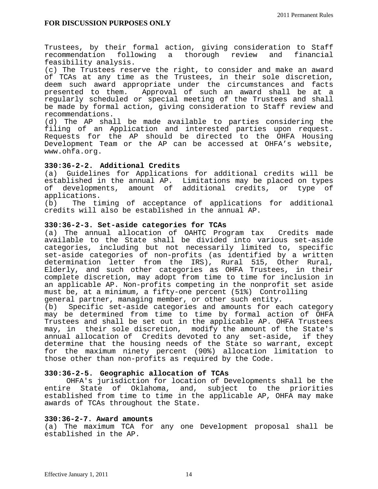Trustees, by their formal action, giving consideration to Staff recommendation following a thorough review and financial feasibility analysis.

(c) The Trustees reserve the right, to consider and make an award of TCAs at any time as the Trustees, in their sole discretion, deem such award appropriate under the circumstances and facts presented to them. Approval of such an award shall be at a regularly scheduled or special meeting of the Trustees and shall be made by formal action, giving consideration to Staff review and recommendations.

(d) The AP shall be made available to parties considering the filing of an Application and interested parties upon request. Requests for the AP should be directed to the OHFA Housing Development Team or the AP can be accessed at OHFA's website, www.ohfa.org.

## **330:36-2-2. Additional Credits**

(a) Guidelines for Applications for additional credits will be established in the annual AP. Limitations may be placed on types of developments, amount of additional credits, or type of applications.

(b) The timing of acceptance of applications for additional credits will also be established in the annual AP.

## **330:36-2-3. Set-aside categories for TCAs**

(a) The annual allocation of OAHTC Program tax Credits made available to the State shall be divided into various set-aside categories, including but not necessarily limited to, specific set-aside categories of non-profits (as identified by a written determination letter from the IRS), Rural 515, Other Rural, Elderly, and such other categories as OHFA Trustees, in their complete discretion, may adopt from time to time for inclusion in an applicable AP. Non-profits competing in the nonprofit set aside must be, at a minimum, a fifty-one percent (51%) Controlling general partner, managing member, or other such entity.

(b) Specific set-aside categories and amounts for each category may be determined from time to time by formal action of OHFA Trustees and shall be set out in the applicable AP. OHFA Trustees may, in their sole discretion, modify the amount of the State's annual allocation of Credits devoted to any set-aside, if they determine that the housing needs of the State so warrant, except for the maximum ninety percent (90%) allocation limitation to those other than non-profits as required by the Code.

## **330:36-2-5. Geographic allocation of TCAs**

 OHFA's jurisdiction for location of Developments shall be the entire State of Oklahoma, and, subject to the priorities established from time to time in the applicable AP, OHFA may make awards of TCAs throughout the State.

## **330:36-2-7. Award amounts**

(a) The maximum TCA for any one Development proposal shall be established in the AP.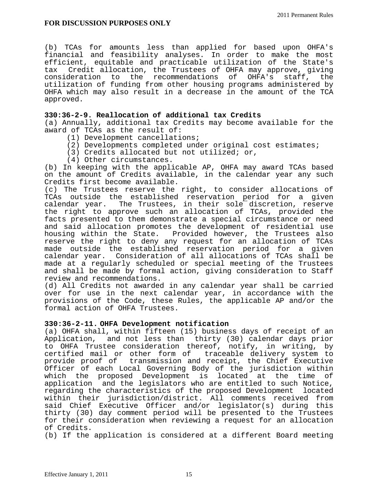(b) TCAs for amounts less than applied for based upon OHFA's financial and feasibility analyses. In order to make the most efficient, equitable and practicable utilization of the State's tax Credit allocation, the Trustees of OHFA may approve, giving consideration to the recommendations of OHFA's staff, the utilization of funding from other housing programs administered by OHFA which may also result in a decrease in the amount of the TCA approved.

## **330:36-2-9. Reallocation of additional tax Credits**

(a) Annually, additional tax Credits may become available for the award of TCAs as the result of:

- (1) Development cancellations;
- (2) Developments completed under original cost estimates;
- (3) Credits allocated but not utilized; or,
- (4) Other circumstances.

(b) In keeping with the applicable AP, OHFA may award TCAs based on the amount of Credits available, in the calendar year any such Credits first become available.

(c) The Trustees reserve the right, to consider allocations of TCAs outside the established reservation period for a given calendar year. The Trustees, in their sole discretion, reserve the right to approve such an allocation of TCAs, provided the facts presented to them demonstrate a special circumstance or need and said allocation promotes the development of residential use housing within the State. Provided however, the Trustees also reserve the right to deny any request for an allocation of TCAs made outside the established reservation period for a given calendar year. Consideration of all allocations of TCAs shall be made at a regularly scheduled or special meeting of the Trustees and shall be made by formal action, giving consideration to Staff review and recommendations.

(d) All Credits not awarded in any calendar year shall be carried over for use in the next calendar year, in accordance with the provisions of the Code, these Rules, the applicable AP and/or the formal action of OHFA Trustees.

## **330:36-2-11. OHFA Development notification**

(a) OHFA shall, within fifteen (15) business days of receipt of an Application, and not less than thirty (30) calendar days prior to OHFA Trustee consideration thereof, notify, in writing, by certified mail or other form of traceable delivery system to provide proof of transmission and receipt, the Chief Executive Officer of each Local Governing Body of the jurisdiction within which the proposed Development is located at the time of application and the legislators who are entitled to such Notice, regarding the characteristics of the proposed Development located within their jurisdiction/district. All comments received from said Chief Executive Officer and/or legislator(s) during this thirty (30) day comment period will be presented to the Trustees for their consideration when reviewing a request for an allocation of Credits.

(b) If the application is considered at a different Board meeting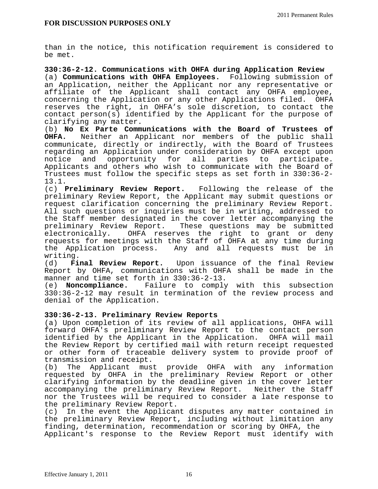than in the notice, this notification requirement is considered to be met.

**330:36-2-12. Communications with OHFA during Application Review**  (a) **Communications with OHFA Employees.** Following submission of an Application, neither the Applicant nor any representative or affiliate of the Applicant shall contact any OHFA employee, concerning the Application or any other Applications filed. OHFA reserves the right, in OHFA's sole discretion, to contact the contact person(s) identified by the Applicant for the purpose of clarifying any matter.

(b) **No Ex Parte Communications with the Board of Trustees of OHFA.** Neither an Applicant nor members of the public shall communicate, directly or indirectly, with the Board of Trustees regarding an Application under consideration by OHFA except upon notice and opportunity for all parties to participate. Applicants and others who wish to communicate with the Board of Trustees must follow the specific steps as set forth in 330:36-2- 13.1.

(c) **Preliminary Review Report.** Following the release of the preliminary Review Report, the Applicant may submit questions or request clarification concerning the preliminary Review Report. All such questions or inquiries must be in writing, addressed to the Staff member designated in the cover letter accompanying the preliminary Review Report. These questions may be submitted<br>electronically. OHFA reserves the right to grant or deny OHFA reserves the right to grant or deny requests for meetings with the Staff of OHFA at any time during<br>the Application process. Any and all requests must be in Any and all requests must be in

writing.<br>(d) **Final Review Report.** (d) **Final Review Report.** Upon issuance of the final Review Report by OHFA, communications with OHFA shall be made in the manner and time set forth in 330:36-2-13.

(e) **Noncompliance.** Failure to comply with this subsection 330:36-2-12 may result in termination of the review process and denial of the Application.

# **330:36-2-13. Preliminary Review Reports**

(a) Upon completion of its review of all applications, OHFA will forward OHFA's preliminary Review Report to the contact person identified by the Applicant in the Application. OHFA will mail the Review Report by certified mail with return receipt requested or other form of traceable delivery system to provide proof of transmission and receipt.

(b) The Applicant must provide OHFA with any information requested by OHFA in the preliminary Review Report or other clarifying information by the deadline given in the cover letter accompanying the preliminary Review Report. Neither the Staff nor the Trustees will be required to consider a late response to the preliminary Review Report.

(c) In the event the Applicant disputes any matter contained in the preliminary Review Report, including without limitation any finding, determination, recommendation or scoring by OHFA, the Applicant's response to the Review Report must identify with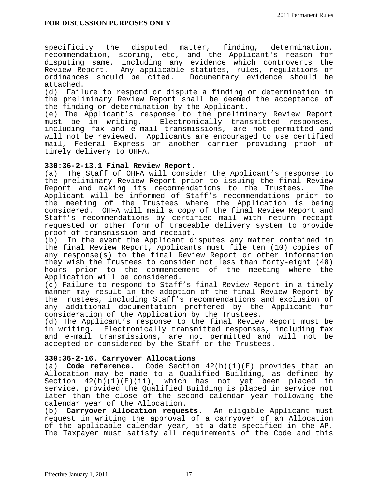specificity the disputed matter, finding, determination, recommendation, scoring, etc, and the Applicant's reason for disputing same, including any evidence which controverts the Review Report. Any applicable statutes, rules, regulations or ordinances should be cited. Documentary evidence should be attached.

(d) Failure to respond or dispute a finding or determination in the preliminary Review Report shall be deemed the acceptance of the finding or determination by the Applicant.

(e) The Applicant's response to the preliminary Review Report must be in writing. Electronically transmitted responses, including fax and e-mail transmissions, are not permitted and will not be reviewed. Applicants are encouraged to use certified mail, Federal Express or another carrier providing proof of timely delivery to OHFA.

# **330:36-2-13.1 Final Review Report.**

The Staff of OHFA will consider the Applicant's response to the preliminary Review Report prior to issuing the final Review Report and making its recommendations to the Trustees. The Applicant will be informed of Staff's recommendations prior to the meeting of the Trustees where the Application is being considered. OHFA will mail a copy of the final Review Report and Staff's recommendations by certified mail with return receipt requested or other form of traceable delivery system to provide proof of transmission and receipt.

(b) In the event the Applicant disputes any matter contained in the final Review Report, Applicants must file ten (10) copies of any response(s) to the final Review Report or other information they wish the Trustees to consider not less than forty-eight (48) hours prior to the commencement of the meeting where the Application will be considered.

(c) Failure to respond to Staff's final Review Report in a timely manner may result in the adoption of the final Review Report by the Trustees, including Staff's recommendations and exclusion of any additional documentation proffered by the Applicant for consideration of the Application by the Trustees.

(d) The Applicant's response to the final Review Report must be in writing. Electronically transmitted responses, including fax and e-mail transmissions, are not permitted and will not be accepted or considered by the Staff or the Trustees.

# **330:36-2-16. Carryover Allocations**

(a) **Code reference.** Code Section 42(h)(1)(E) provides that an Allocation may be made to a Qualified Building, as defined by Section  $42(h)(1)(E)(ii)$ , which has not yet been placed in service, provided the Qualified Building is placed in service not later than the close of the second calendar year following the calendar year of the Allocation.

(b) **Carryover Allocation requests.** An eligible Applicant must request in writing the approval of a carryover of an Allocation of the applicable calendar year, at a date specified in the AP. The Taxpayer must satisfy all requirements of the Code and this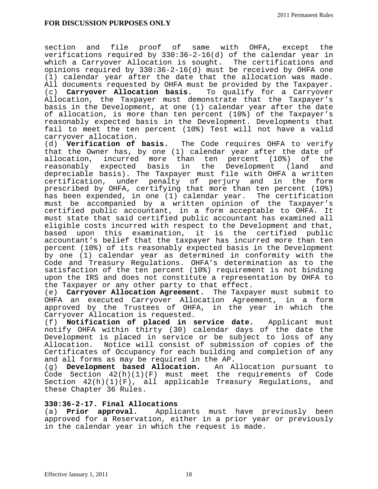section and file proof of same with OHFA, except the verifications required by 330:36-2-16(d) of the calendar year in which a Carryover Allocation is sought. The certifications and opinions required by 330:36-2-16(d) must be received by OHFA one (1) calendar year after the date that the allocation was made. All documents requested by OHFA must be provided by the Taxpayer. (c) **Carryover Allocation basis.** To qualify for a Carryover Allocation, the Taxpayer must demonstrate that the Taxpayer's basis in the Development, at one (1) calendar year after the date of allocation, is more than ten percent (10%) of the Taxpayer's reasonably expected basis in the Development. Developments that fail to meet the ten percent (10%) Test will not have a valid carryover allocation.

(d) **Verification of basis.** The Code requires OHFA to verify that the Owner has, by one (1) calendar year after the date of allocation, incurred more than ten percent (10%) of the reasonably expected basis in the Development (land and depreciable basis). The Taxpayer must file with OHFA a written certification, under penalty of perjury and in the form prescribed by OHFA, certifying that more than ten percent (10%) has been expended, in one (1) calendar year. The certification must be accompanied by a written opinion of the Taxpayer's certified public accountant, in a form acceptable to OHFA. It must state that said certified public accountant has examined all eligible costs incurred with respect to the Development and that, based upon this examination, it is the certified public accountant's belief that the taxpayer has incurred more than ten percent (10%) of its reasonably expected basis in the Development by one (1) calendar year as determined in conformity with the Code and Treasury Regulations. OHFA's determination as to the satisfaction of the ten percent (10%) requirement is not binding upon the IRS and does not constitute a representation by OHFA to the Taxpayer or any other party to that effect.

(e) **Carryover Allocation Agreement.** The Taxpayer must submit to OHFA an executed Carryover Allocation Agreement, in a form approved by the Trustees of OHFA, in the year in which the Carryover Allocation is requested.

(f) **Notification of placed in service date.** Applicant must notify OHFA within thirty (30) calendar days of the date the Development is placed in service or be subject to loss of any Allocation. Notice will consist of submission of copies of the Certificates of Occupancy for each building and completion of any and all forms as may be required in the AP.

(g) **Development based Allocation.** An Allocation pursuant to Code Section 42(h)(1)(F) must meet the requirements of Code Section 42(h)(1)(F), all applicable Treasury Regulations, and these Chapter 36 Rules.

## **330:36-2-17. Final Allocations**

(a) **Prior approval.** Applicants must have previously been approved for a Reservation, either in a prior year or previously in the calendar year in which the request is made.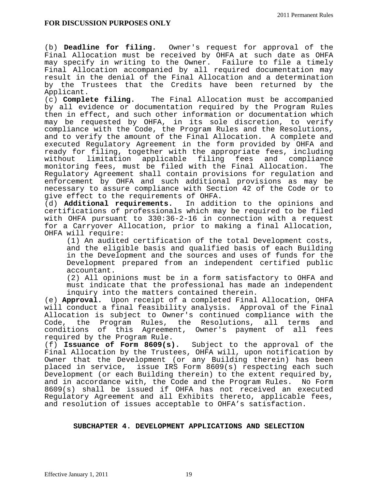(b) **Deadline for filing.** Owner's request for approval of the Final Allocation must be received by OHFA at such date as OHFA may specify in writing to the Owner. Failure to file a timely Final Allocation accompanied by all required documentation may result in the denial of the Final Allocation and a determination by the Trustees that the Credits have been returned by the Applicant.

(c) **Complete filing.** The Final Allocation must be accompanied by all evidence or documentation required by the Program Rules then in effect, and such other information or documentation which may be requested by OHFA, in its sole discretion, to verify compliance with the Code, the Program Rules and the Resolutions, and to verify the amount of the Final Allocation. A complete and executed Regulatory Agreement in the form provided by OHFA and ready for filing, together with the appropriate fees, including<br>without limitation applicable filing fees and compliance limitation applicable filing fees and compliance monitoring fees, must be filed with the Final Allocation. The Regulatory Agreement shall contain provisions for regulation and enforcement by OHFA and such additional provisions as may be necessary to assure compliance with Section 42 of the Code or to

give effect to the requirements of OHFA.<br>(d) **Additional requirements.** In addit In addition to the opinions and certifications of professionals which may be required to be filed with OHFA pursuant to 330:36-2-16 in connection with a request for a Carryover Allocation, prior to making a final Allocation, OHFA will require:

 (1) An audited certification of the total Development costs, and the eligible basis and qualified basis of each Building in the Development and the sources and uses of funds for the Development prepared from an independent certified public accountant.

 (2) All opinions must be in a form satisfactory to OHFA and must indicate that the professional has made an independent inquiry into the matters contained therein.

(e) **Approval.** Upon receipt of a completed Final Allocation, OHFA will conduct a final feasibility analysis. Approval of the Final Allocation is subject to Owner's continued compliance with the Code, the Program Rules, the Resolutions, all terms and conditions of this Agreement, Owner's payment of all fees required by the Program Rule.<br>(f) Issuance of Form 8609(s).

Subject to the approval of the Final Allocation by the Trustees, OHFA will, upon notification by Owner that the Development (or any Building therein) has been placed in service, issue IRS Form 8609(s) respecting each such Development (or each Building therein) to the extent required by, and in accordance with, the Code and the Program Rules. No Form 8609(s) shall be issued if OHFA has not received an executed Regulatory Agreement and all Exhibits thereto, applicable fees, and resolution of issues acceptable to OHFA's satisfaction.

## **SUBCHAPTER 4. DEVELOPMENT APPLICATIONS AND SELECTION**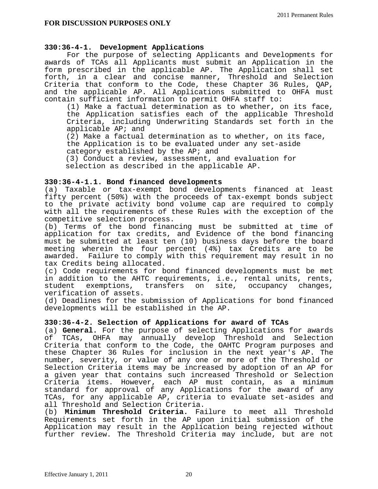## **330:36-4-1. Development Applications**

 For the purpose of selecting Applicants and Developments for awards of TCAs all Applicants must submit an Application in the form prescribed in the applicable AP. The Application shall set forth, in a clear and concise manner, Threshold and Selection Criteria that conform to the Code, these Chapter 36 Rules, QAP, and the applicable AP. All Applications submitted to OHFA must contain sufficient information to permit OHFA staff to:

(1) Make a factual determination as to whether, on its face, the Application satisfies each of the applicable Threshold Criteria, including Underwriting Standards set forth in the applicable AP; and

 (2) Make a factual determination as to whether, on its face, the Application is to be evaluated under any set-aside category established by the AP; and

 (3) Conduct a review, assessment, and evaluation for selection as described in the applicable AP.

## **330:36-4-1.1. Bond financed developments**

(a) Taxable or tax-exempt bond developments financed at least fifty percent (50%) with the proceeds of tax-exempt bonds subject to the private activity bond volume cap are required to comply with all the requirements of these Rules with the exception of the competitive selection process.

(b) Terms of the bond financing must be submitted at time of application for tax credits, and Evidence of the bond financing must be submitted at least ten (10) business days before the board meeting wherein the four percent (4%) tax Credits are to be awarded. Failure to comply with this requirement may result in no tax Credits being allocated.

(c) Code requirements for bond financed developments must be met in addition to the AHTC requirements, i.e., rental units, rents,<br>student exemptions, transfers on site, occupancy changes, transfers on site, occupancy changes, verification of assets.

(d) Deadlines for the submission of Applications for bond financed developments will be established in the AP.

# **330:36-4-2. Selection of Applications for award of TCAs**

(a) **General.** For the purpose of selecting Applications for awards of TCAs, OHFA may annually develop Threshold and Selection Criteria that conform to the Code, the OAHTC Program purposes and these Chapter 36 Rules for inclusion in the next year's AP. The number, severity, or value of any one or more of the Threshold or Selection Criteria items may be increased by adoption of an AP for a given year that contains such increased Threshold or Selection Criteria items. However, each AP must contain, as a minimum standard for approval of any Applications for the award of any TCAs, for any applicable AP, criteria to evaluate set-asides and all Threshold and Selection Criteria.

(b) **Minimum Threshold Criteria.** Failure to meet all Threshold Requirements set forth in the AP upon initial submission of the Application may result in the Application being rejected without further review. The Threshold Criteria may include, but are not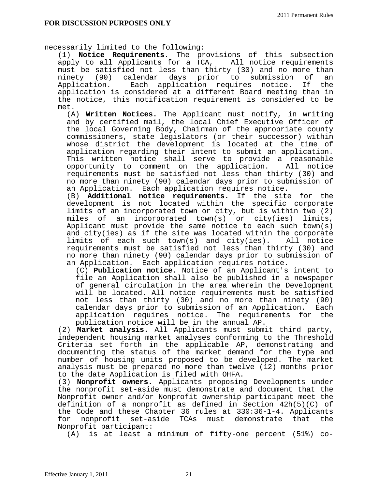necessarily limited to the following:

(1) **Notice Requirements.** The provisions of this subsection apply to all Applicants for a TCA, All notice requirements must be satisfied not less than thirty (30) and no more than ninety (90) calendar days prior to submission of an<br>Application. Each application requires notice. If the Each application requires notice. If the application is considered at a different Board meeting than in the notice, this notification requirement is considered to be met.

(A) **Written Notices.** The Applicant must notify, in writing and by certified mail, the local Chief Executive Officer of the local Governing Body, Chairman of the appropriate county commissioners, state legislators (or their successor) within whose district the development is located at the time of application regarding their intent to submit an application. This written notice shall serve to provide a reasonable opportunity to comment on the application. All notice requirements must be satisfied not less than thirty (30) and no more than ninety (90) calendar days prior to submission of an Application. Each application requires notice.

(B) **Additional notice requirements.** If the site for the development is not located within the specific corporate limits of an incorporated town or city, but is within two (2) miles of an incorporated town(s) or city(ies) limits, Applicant must provide the same notice to each such town(s) and city(ies) as if the site was located within the corporate limits of each such town(s) and city(ies). All notice requirements must be satisfied not less than thirty (30) and no more than ninety (90) calendar days prior to submission of an Application. Each application requires notice.

(C) **Publication notice.** Notice of an Applicant's intent to file an Application shall also be published in a newspaper of general circulation in the area wherein the Development will be located. All notice requirements must be satisfied not less than thirty (30) and no more than ninety (90) calendar days prior to submission of an Application. Each application requires notice. The requirements for the publication notice will be in the annual AP.

(2) **Market analysis.** All Applicants must submit third party, independent housing market analyses conforming to the Threshold Criteria set forth in the applicable AP, demonstrating and documenting the status of the market demand for the type and number of housing units proposed to be developed. The market analysis must be prepared no more than twelve (12) months prior to the date Application is filed with OHFA.

(3) **Nonprofit owners.** Applicants proposing Developments under the nonprofit set-aside must demonstrate and document that the Nonprofit owner and/or Nonprofit ownership participant meet the definition of a nonprofit as defined in Section 42h(5)(C) of the Code and these Chapter 36 rules at 330:36-1-4. Applicants for nonprofit set-aside TCAs must demonstrate that the Nonprofit participant:

(A) is at least a minimum of fifty-one percent (51%) co-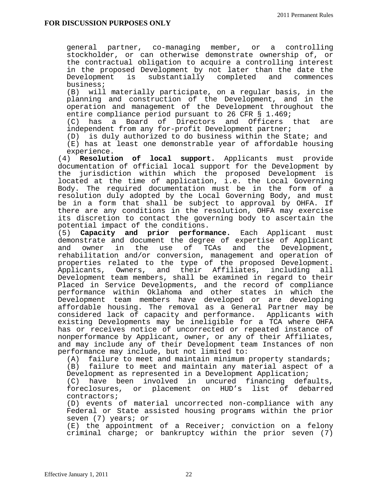general partner, co-managing member, or a controlling stockholder, or can otherwise demonstrate ownership of, or the contractual obligation to acquire a controlling interest in the proposed Development by not later than the date the Development is substantially completed and commences business;

(B) will materially participate, on a regular basis, in the planning and construction of the Development, and in the operation and management of the Development throughout the entire compliance period pursuant to 26 CFR § 1.469;

(C) has a Board of Directors and Officers that are independent from any for-profit Development partner;

(D) is duly authorized to do business within the State; and

(E) has at least one demonstrable year of affordable housing experience.

(4) **Resolution of local support.** Applicants must provide documentation of official local support for the Development by the jurisdiction within which the proposed Development is located at the time of application, i.e. the Local Governing Body. The required documentation must be in the form of a resolution duly adopted by the Local Governing Body, and must be in a form that shall be subject to approval by OHFA. If there are any conditions in the resolution, OHFA may exercise its discretion to contact the governing body to ascertain the potential impact of the conditions.

(5) **Capacity and prior performance.** Each Applicant must demonstrate and document the degree of expertise of Applicant<br>and owner in the use of TCAs and the Development, the use of TCAs and the Development, rehabilitation and/or conversion, management and operation of properties related to the type of the proposed Development. Applicants, Owners, and their Affiliates, including all Development team members, shall be examined in regard to their Placed in Service Developments, and the record of compliance performance within Oklahoma and other states in which the Development team members have developed or are developing affordable housing. The removal as a General Partner may be considered lack of capacity and performance. Applicants with existing Developments may be ineligible for a TCA where OHFA has or receives notice of uncorrected or repeated instance of nonperformance by Applicant, owner, or any of their Affiliates, and may include any of their Development team Instances of non performance may include, but not limited to:

(A) failure to meet and maintain minimum property standards; (B) failure to meet and maintain any material aspect of a

Development as represented in a Development Application;

(C) have been involved in uncured financing defaults, foreclosures, or placement on HUD's list of debarred contractors;

(D) events of material uncorrected non-compliance with any Federal or State assisted housing programs within the prior seven (7) years; or

(E) the appointment of a Receiver; conviction on a felony criminal charge; or bankruptcy within the prior seven (7)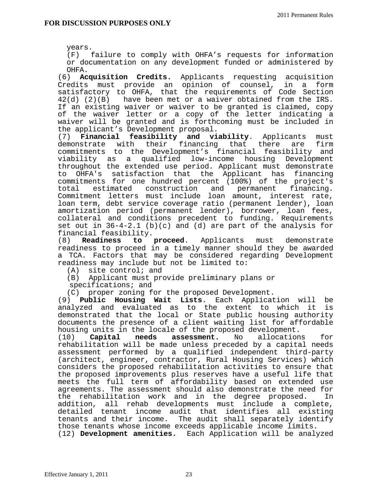years.

(F) failure to comply with OHFA's requests for information or documentation on any development funded or administered by OHFA.

(6) **Acquisition Credits.** Applicants requesting acquisition Credits must provide an opinion of counsel, in a form satisfactory to OHFA, that the requirements of Code Section 42(d) (2)(B) have been met or a waiver obtained from the IRS. If an existing waiver or waiver to be granted is claimed, copy of the waiver letter or a copy of the letter indicating a waiver will be granted and is forthcoming must be included in the applicant's Development proposal.

(7) **Financial feasibility and viability**. Applicants must their financing that there are firm commitments to the Development's financial feasibility and viability as a qualified low-income housing Development throughout the extended use period. Applicant must demonstrate to OHFA's satisfaction that the Applicant has financing commitments for one hundred percent (100%) of the project's total estimated construction and permanent financing. Commitment letters must include loan amount, interest rate, loan term, debt service coverage ratio (permanent lender), loan amortization period (permanent lender), borrower, loan fees, collateral and conditions precedent to funding. Requirements set out in  $36-4-2.1$  (b)(c) and (d) are part of the analysis for

financial feasibility.<br>(8) **Readiness to** proceed. Applicants must demonstrate readiness to proceed in a timely manner should they be awarded a TCA. Factors that may be considered regarding Development readiness may include but not be limited to:

- (A) site control; and
- (B) Applicant must provide preliminary plans or
- specifications; and

(C) proper zoning for the proposed Development.

(9) **Public Housing Wait Lists**. Each Application will be analyzed and evaluated as to the extent to which it is demonstrated that the local or State public housing authority documents the presence of a client waiting list for affordable housing units in the locale of the proposed development.<br>(10) **Capital needs assessment.** No allocations

(10) **Capital needs assessment.** No allocations for rehabilitation will be made unless preceded by a capital needs assessment performed by a qualified independent third-party (architect, engineer, contractor, Rural Housing Services) which considers the proposed rehabilitation activities to ensure that the proposed improvements plus reserves have a useful life that meets the full term of affordability based on extended use agreements. The assessment should also demonstrate the need for the rehabilitation work and in the degree proposed. In addition, all rehab developments must include a complete, detailed tenant income audit that identifies all existing tenants and their income. The audit shall separately identify those tenants whose income exceeds applicable income limits. (12) **Development amenities.** Each Application will be analyzed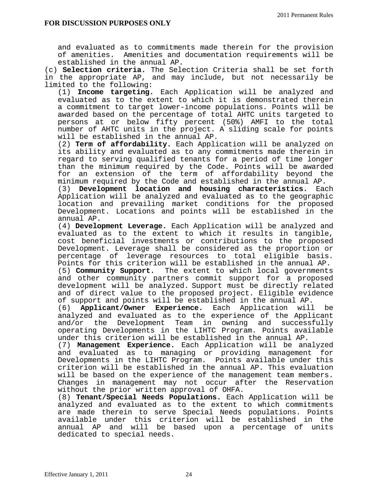and evaluated as to commitments made therein for the provision of amenities. Amenities and documentation requirements will be established in the annual AP.

(c) **Selection criteria.** The Selection Criteria shall be set forth in the appropriate AP, and may include, but not necessarily be limited to the following:

(1) **Income targeting.** Each Application will be analyzed and evaluated as to the extent to which it is demonstrated therein a commitment to target lower-income populations. Points will be awarded based on the percentage of total AHTC units targeted to persons at or below fifty percent (50%) AMFI to the total number of AHTC units in the project. A sliding scale for points will be established in the annual AP.

(2) **Term of affordability.** Each Application will be analyzed on its ability and evaluated as to any commitments made therein in regard to serving qualified tenants for a period of time longer than the minimum required by the Code. Points will be awarded for an extension of the term of affordability beyond the minimum required by the Code and established in the annual AP.

(3) **Development location and housing characteristics.** Each Application will be analyzed and evaluated as to the geographic location and prevailing market conditions for the proposed Development. Locations and points will be established in the annual AP.

(4) **Development Leverage.** Each Application will be analyzed and evaluated as to the extent to which it results in tangible, cost beneficial investments or contributions to the proposed Development. Leverage shall be considered as the proportion or percentage of leverage resources to total eligible basis. Points for this criterion will be established in the annual AP. (5) **Community Support.** The extent to which local governments and other community partners commit support for a proposed development will be analyzed. Support must be directly related and of direct value to the proposed project. Eligible evidence of support and points will be established in the annual AP.

(6) **Applicant/Owner Experience.** Each Application will be analyzed and evaluated as to the experience of the Applicant and/or the Development Team in owning and successfully operating Developments in the LIHTC Program. Points available under this criterion will be established in the annual AP.

(7) **Management Experience.** Each Application will be analyzed and evaluated as to managing or providing management for Developments in the LIHTC Program. Points available under this criterion will be established in the annual AP. This evaluation will be based on the experience of the management team members. Changes in management may not occur after the Reservation without the prior written approval of OHFA.

(8) **Tenant/Special Needs Populations.** Each Application will be analyzed and evaluated as to the extent to which commitments are made therein to serve Special Needs populations. Points available under this criterion will be established in the annual AP and will be based upon a percentage of units dedicated to special needs.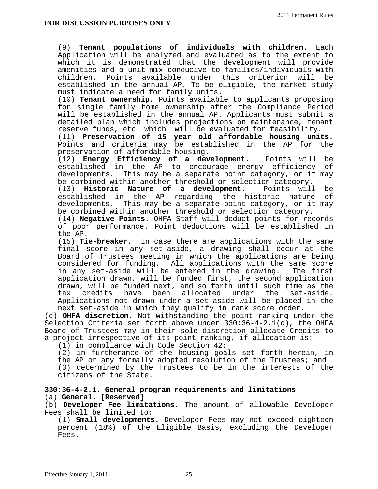(9) **Tenant populations of individuals with children.** Each Application will be analyzed and evaluated as to the extent to which it is demonstrated that the development will provide amenities and a unit mix conducive to families/individuals with children. Points available under this criterion will be established in the annual AP. To be eligible, the market study must indicate a need for family units.

(10) **Tenant ownership.** Points available to applicants proposing for single family home ownership after the Compliance Period will be established in the annual AP. Applicants must submit a detailed plan which includes projections on maintenance, tenant reserve funds, etc. which will be evaluated for feasibility.

(11) **Preservation of 15 year old affordable housing units.**  Points and criteria may be established in the AP for the preservation of affordable housing.

(12) **Energy Efficiency of a development.** Points will be established in the AP to encourage energy efficiency of developments. This may be a separate point category, or it may be combined within another threshold or selection category.

(13) **Historic Nature of a development.** Points will be established in the AP regarding the historic nature of developments. This may be a separate point category, or it may<br>be combined within another threshold or selection category.

(14) **Negative Points**. OHFA Staff will deduct points for records of poor performance. Point deductions will be established in the AP.

(15) **Tie-breaker.** In case there are applications with the same final score in any set-aside, a drawing shall occur at the Board of Trustees meeting in which the applications are being considered for funding. All applications with the same score<br>in any set-aside will be entered in the drawing. The first in any set-aside will be entered in the drawing. application drawn, will be funded first, the second application drawn, will be funded next, and so forth until such time as the tax credits have been allocated under the set-aside. Applications not drawn under a set-aside will be placed in the next set-aside in which they qualify in rank score order.

(d) **OHFA discretion.** Not withstanding the point ranking under the Selection Criteria set forth above under  $330:36-4-2.1(c)$ , the OHFA Board of Trustees may in their sole discretion allocate Credits to a project irrespective of its point ranking, if allocation is:

(1) in compliance with Code Section 42;

(2) in furtherance of the housing goals set forth herein, in the AP or any formally adopted resolution of the Trustees; and (3) determined by the Trustees to be in the interests of the

citizens of the State.

## **330:36-4-2.1. General program requirements and limitations** (a) **General. [Reserved]**

(b) **Developer Fee limitations.** The amount of allowable Developer Fees shall be limited to:

(1) **Small developments.** Developer Fees may not exceed eighteen percent (18%) of the Eligible Basis, excluding the Developer Fees.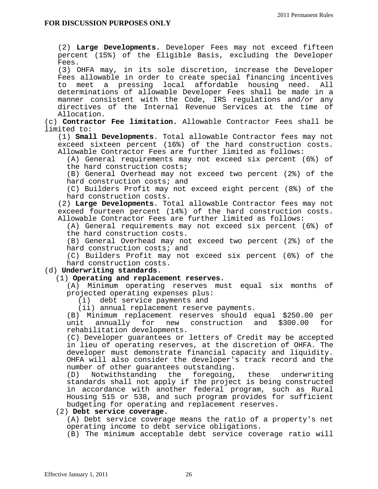(2) **Large Developments.** Developer Fees may not exceed fifteen percent (15%) of the Eligible Basis, excluding the Developer Fees.

(3) OHFA may, in its sole discretion, increase the Developer Fees allowable in order to create special financing incentives to meet a pressing local affordable housing need. All determinations of allowable Developer Fees shall be made in a manner consistent with the Code, IRS regulations and/or any directives of the Internal Revenue Services at the time of Allocation.

(c) **Contractor Fee limitation.** Allowable Contractor Fees shall be limited to:

(1) **Small Developments**. Total allowable Contractor fees may not exceed sixteen percent (16%) of the hard construction costs. Allowable Contractor Fees are further limited as follows:

(A) General requirements may not exceed six percent (6%) of the hard construction costs;

(B) General Overhead may not exceed two percent (2%) of the hard construction costs; and

(C) Builders Profit may not exceed eight percent (8%) of the hard construction costs.

(2) **Large Developments**. Total allowable Contractor fees may not exceed fourteen percent (14%) of the hard construction costs. Allowable Contractor Fees are further limited as follows:

(A) General requirements may not exceed six percent (6%) of the hard construction costs.

(B) General Overhead may not exceed two percent (2%) of the hard construction costs; and

(C) Builders Profit may not exceed six percent (6%) of the hard construction costs.

## (d) **Underwriting standards**.

## (1) **Operating and replacement reserves.**

(A) Minimum operating reserves must equal six months of projected operating expenses plus:

(i) debt service payments and

(ii) annual replacement reserve payments.

(B) Minimum replacement reserves should equal \$250.00 per unit annually for new construction and \$300.00 for rehabilitation developments.

(C) Developer guarantees or letters of Credit may be accepted in lieu of operating reserves, at the discretion of OHFA. The developer must demonstrate financial capacity and liquidity. OHFA will also consider the developer's track record and the number of other guarantees outstanding.<br>(D) Notwithstanding the foregoing.

Notwithstanding the foregoing, these underwriting standards shall not apply if the project is being constructed in accordance with another federal program, such as Rural Housing 515 or 538, and such program provides for sufficient budgeting for operating and replacement reserves.

#### (2) **Debt service coverage.**

(A) Debt service coverage means the ratio of a property's net operating income to debt service obligations.

(B) The minimum acceptable debt service coverage ratio will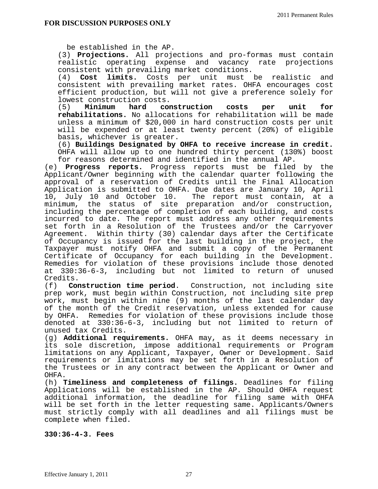be established in the AP.

(3) **Projections.** All projections and pro-formas must contain realistic operating expense and vacancy rate projections consistent with prevailing market conditions.<br>(4) **Cost limits.** Costs per unit must

Cost limits. Costs per unit must be realistic and consistent with prevailing market rates. OHFA encourages cost efficient production, but will not give a preference solely for lowest construction costs.<br>(5) **Minimum hard con** 

hard construction costs per unit for **rehabilitations.** No allocations for rehabilitation will be made unless a minimum of \$20,000 in hard construction costs per unit will be expended or at least twenty percent (20%) of eligible basis, whichever is greater.

(6) **Buildings Designated by OHFA to receive increase in credit.**  OHFA will allow up to one hundred thirty percent (130%) boost for reasons determined and identified in the annual AP.

(e) **Progress reports.** Progress reports must be filed by the Applicant/Owner beginning with the calendar quarter following the approval of a reservation of Credits until the Final Allocation Application is submitted to OHFA. Due dates are January 10, April 10, July 10 and October 10. The report must contain, at a minimum, the status of site preparation and/or construction, including the percentage of completion of each building, and costs incurred to date. The report must address any other requirements set forth in a Resolution of the Trustees and/or the Carryover Agreement. Within thirty (30) calendar days after the Certificate of Occupancy is issued for the last building in the project, the Taxpayer must notify OHFA and submit a copy of the Permanent Certificate of Occupancy for each building in the Development. Remedies for violation of these provisions include those denoted at 330:36-6-3, including but not limited to return of unused Credits.

(f) **Construction time period**. Construction, not including site prep work, must begin within Construction, not including site prep work, must begin within nine (9) months of the last calendar day of the month of the Credit reservation, unless extended for cause by OHFA. Remedies for violation of these provisions include those denoted at 330:36-6-3, including but not limited to return of unused tax Credits.

(g) **Additional requirements.** OHFA may, as it deems necessary in its sole discretion, impose additional requirements or Program limitations on any Applicant, Taxpayer, Owner or Development. Said requirements or limitations may be set forth in a Resolution of the Trustees or in any contract between the Applicant or Owner and OHFA.

(h) **Timeliness and completeness of filings.** Deadlines for filing Applications will be established in the AP. Should OHFA request additional information, the deadline for filing same with OHFA will be set forth in the letter requesting same. Applicants/Owners must strictly comply with all deadlines and all filings must be complete when filed.

## **330:36-4-3. Fees**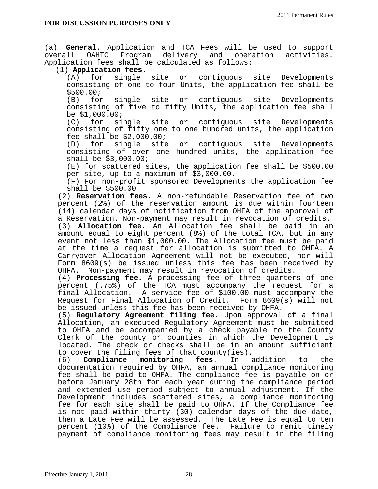(a) **General.** Application and TCA Fees will be used to support overall OAHTC Program delivery and operation activities. Application fees shall be calculated as follows:

# (1) **Application fees.**

for single site or contiguous site Developments consisting of one to four Units, the application fee shall be \$500.00;

(B) for single site or contiguous site Developments consisting of five to fifty Units, the application fee shall be  $$1,000.00;$ <br>(C) for si

single site or contiguous site Developments consisting of fifty one to one hundred units, the application fee shall be  $$2,000.00$ ;<br>(D) for single site

(D) for single site or contiguous site Developments consisting of over one hundred units, the application fee shall be \$3,000.00;

(E) for scattered sites, the application fee shall be \$500.00 per site, up to a maximum of \$3,000.00.

(F) For non-profit sponsored Developments the application fee shall be \$500.00.

(2) **Reservation fees.** A non-refundable Reservation fee of two percent (2%) of the reservation amount is due within fourteen (14) calendar days of notification from OHFA of the approval of a Reservation. Non-payment may result in revocation of credits.

(3) **Allocation fee.** An Allocation fee shall be paid in an amount equal to eight percent (8%) of the total TCA, but in any event not less than \$1,000.00. The Allocation fee must be paid at the time a request for allocation is submitted to OHFA. A Carryover Allocation Agreement will not be executed, nor will Form 8609(s) be issued unless this fee has been received by OHFA. Non-payment may result in revocation of credits.

(4) **Processing fee.** A processing fee of three quarters of one percent (.75%) of the TCA must accompany the request for a final Allocation. A service fee of \$100.00 must accompany the Request for Final Allocation of Credit. Form 8609(s) will not be issued unless this fee has been received by OHFA.

(5) **Regulatory Agreement filing fee.** Upon approval of a final Allocation, an executed Regulatory Agreement must be submitted to OHFA and be accompanied by a check payable to the County Clerk of the county or counties in which the Development is located. The check or checks shall be in an amount sufficient

to cover the filing fees of that county(ies).<br>(6) **Compliance monitoring fees**. In addition (6) **Compliance monitoring fees**. In addition to the documentation required by OHFA, an annual compliance monitoring fee shall be paid to OHFA. The compliance fee is payable on or before January 28th for each year during the compliance period and extended use period subject to annual adjustment. If the Development includes scattered sites, a compliance monitoring fee for each site shall be paid to OHFA. If the Compliance fee is not paid within thirty (30) calendar days of the due date, then a Late Fee will be assessed. The Late Fee is equal to ten percent (10%) of the Compliance fee. Failure to remit timely payment of compliance monitoring fees may result in the filing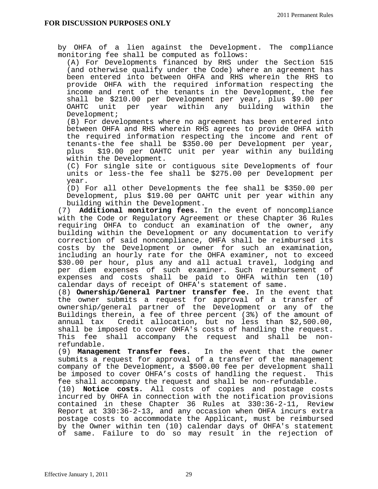by OHFA of a lien against the Development. The compliance monitoring fee shall be computed as follows:

(A) For Developments financed by RHS under the Section 515 (and otherwise qualify under the Code) where an agreement has been entered into between OHFA and RHS wherein the RHS to provide OHFA with the required information respecting the income and rent of the tenants in the Development, the fee shall be \$210.00 per Development per year, plus \$9.00 per OAHTC unit per year within any building within the Development;

(B) For developments where no agreement has been entered into between OHFA and RHS wherein RHS agrees to provide OHFA with the required information respecting the income and rent of tenants-the fee shall be \$350.00 per Development per year, plus \$19.00 per OAHTC unit per year within any building within the Development.

(C) For single site or contiguous site Developments of four units or less-the fee shall be \$275.00 per Development per year.

(D) For all other Developments the fee shall be \$350.00 per Development, plus \$19.00 per OAHTC unit per year within any building within the Development.

(7) **Additional monitoring fees.** In the event of noncompliance with the Code or Regulatory Agreement or these Chapter 36 Rules requiring OHFA to conduct an examination of the owner, any building within the Development or any documentation to verify correction of said noncompliance, OHFA shall be reimbursed its costs by the Development or owner for such an examination, including an hourly rate for the OHFA examiner, not to exceed \$30.00 per hour, plus any and all actual travel, lodging and per diem expenses of such examiner. Such reimbursement of expenses and costs shall be paid to OHFA within ten (10) calendar days of receipt of OHFA's statement of same.

(8) **Ownership/General Partner transfer fee.** In the event that the owner submits a request for approval of a transfer of ownership/general partner of the Development or any of the Buildings therein, a fee of three percent (3%) of the amount of annual tax Credit allocation, but no less than \$2,500.00, shall be imposed to cover OHFA's costs of handling the request. This fee shall accompany the request and shall be nonrefundable.

(9) **Management Transfer fees.** In the event that the owner submits a request for approval of a transfer of the management company of the Development, a \$500.00 fee per development shall<br>be imposed to cover OHFA's costs of handling the request. This be imposed to cover OHFA's costs of handling the request. fee shall accompany the request and shall be non-refundable.

(10) **Notice costs.** All costs of copies and postage costs incurred by OHFA in connection with the notification provisions contained in these Chapter 36 Rules at 330:36-2-11, Review Report at 330:36-2-13, and any occasion when OHFA incurs extra postage costs to accommodate the Applicant, must be reimbursed by the Owner within ten (10) calendar days of OHFA's statement of same. Failure to do so may result in the rejection of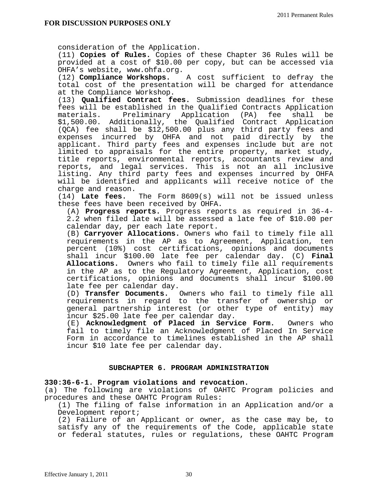consideration of the Application.

(11) **Copies of Rules.** Copies of these Chapter 36 Rules will be provided at a cost of \$10.00 per copy, but can be accessed via OHFA's website, www.ohfa.org.

(12) **Compliance Workshops.** A cost sufficient to defray the total cost of the presentation will be charged for attendance at the Compliance Workshop.

(13) **Qualified Contract fees.** Submission deadlines for these fees will be established in the Qualified Contracts Application<br>materials. Preliminary Application (PA) fee shall be Preliminary Application (PA) fee shall \$1,500.00. Additionally, the Qualified Contract Application (QCA) fee shall be \$12,500.00 plus any third party fees and expenses incurred by OHFA and not paid directly by the applicant. Third party fees and expenses include but are not limited to appraisals for the entire property, market study, title reports, environmental reports, accountants review and reports, and legal services. This is not an all inclusive listing. Any third party fees and expenses incurred by OHFA will be identified and applicants will receive notice of the charge and reason.

(14) **Late fees.** The Form 8609(s) will not be issued unless these fees have been received by OHFA.

(A) **Progress reports.** Progress reports as required in 36-4- 2.2 when filed late will be assessed a late fee of \$10.00 per calendar day, per each late report.

(B) **Carryover Allocations.** Owners who fail to timely file all requirements in the AP as to Agreement, Application, ten percent (10%) cost certifications, opinions and documents shall incur \$100.00 late fee per calendar day. (C) **Final Allocations.** Owners who fail to timely file all requirements in the AP as to the Regulatory Agreement, Application, cost certifications, opinions and documents shall incur \$100.00 late fee per calendar day.

(D) **Transfer Documents.** Owners who fail to timely file all requirements in regard to the transfer of ownership or general partnership interest (or other type of entity) may incur \$25.00 late fee per calendar day.

(E) **Acknowledgment of Placed in Service Form.** Owners who fail to timely file an Acknowledgment of Placed In Service Form in accordance to timelines established in the AP shall incur \$10 late fee per calendar day.

## **SUBCHAPTER 6. PROGRAM ADMINISTRATION**

#### **330:36-6-1. Program violations and revocation.**

(a) The following are violations of OAHTC Program policies and procedures and these OAHTC Program Rules:

(1) The filing of false information in an Application and/or a Development report;

(2) Failure of an Applicant or owner, as the case may be, to satisfy any of the requirements of the Code, applicable state or federal statutes, rules or regulations, these OAHTC Program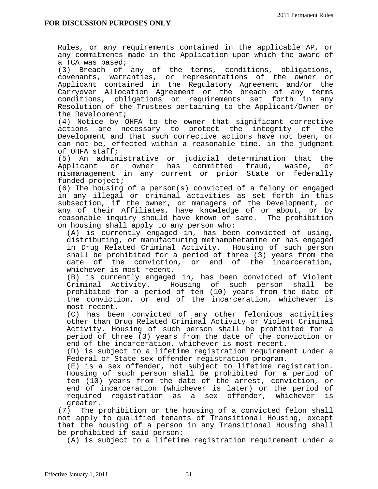Rules, or any requirements contained in the applicable AP, or any commitments made in the Application upon which the award of a TCA was based;

(3) Breach of any of the terms, conditions, obligations, covenants, warranties, or representations of the owner or Applicant contained in the Regulatory Agreement and/or the Carryover Allocation Agreement or the breach of any terms conditions, obligations or requirements set forth in any Resolution of the Trustees pertaining to the Applicant/Owner or the Development;

(4) Notice by OHFA to the owner that significant corrective actions are necessary to protect the integrity of the Development and that such corrective actions have not been, or can not be, effected within a reasonable time, in the judgment of OHFA staff;

(5) An administrative or judicial determination that the Applicant or owner has committed fraud, waste, or mismanagement in any current or prior State or federally funded project;

(6) The housing of a person(s) convicted of a felony or engaged in any illegal or criminal activities as set forth in this subsection, if the owner, or managers of the Development, or any of their Affiliates, have knowledge of or about, or by reasonable inquiry should have known of same. The prohibition on housing shall apply to any person who:

(A) is currently engaged in, has been convicted of using, distributing, or manufacturing methamphetamine or has engaged in Drug Related Criminal Activity. Housing of such person shall be prohibited for a period of three (3) years from the date of the conviction, or end of the incarceration, whichever is most recent.

(B) is currently engaged in, has been convicted of Violent Criminal Activity. Housing of such person shall be prohibited for a period of ten (10) years from the date of the conviction, or end of the incarceration, whichever is most recent.

(C) has been convicted of any other felonious activities other than Drug Related Criminal Activity or Violent Criminal Activity. Housing of such person shall be prohibited for a period of three (3) years from the date of the conviction or end of the incarceration, whichever is most recent.

(D) is subject to a lifetime registration requirement under a Federal or State sex offender registration program.

(E) is a sex offender, not subject to lifetime registration. Housing of such person shall be prohibited for a period of ten (10) years from the date of the arrest, conviction, or end of incarceration (whichever is later) or the period of required registration as a sex offender, whichever is greater.

(7) The prohibition on the housing of a convicted felon shall not apply to qualified tenants of Transitional Housing, except that the housing of a person in any Transitional Housing shall be prohibited if said person:

(A) is subject to a lifetime registration requirement under a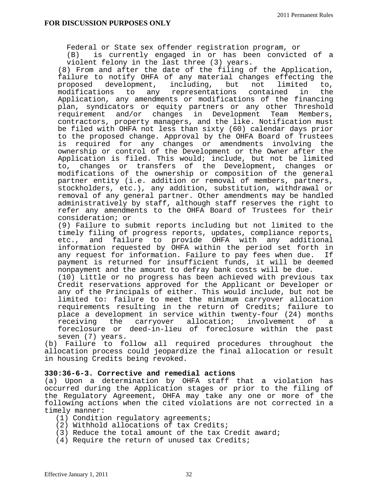Federal or State sex offender registration program, or

(B) is currently engaged in or has been convicted of a violent felony in the last three (3) years.

(8) From and after the date of the filing of the Application, failure to notify OHFA of any material changes effecting the proposed development, including, but not limited to, modifications to any representations contained in the Application, any amendments or modifications of the financing plan, syndicators or equity partners or any other Threshold requirement and/or changes in Development Team Members, contractors, property managers, and the like. Notification must be filed with OHFA not less than sixty (60) calendar days prior to the proposed change. Approval by the OHFA Board of Trustees is required for any changes or amendments involving the ownership or control of the Development or the Owner after the Application is filed. This would; include, but not be limited to, changes or transfers of the Development, changes or modifications of the ownership or composition of the general partner entity (i.e. addition or removal of members, partners, stockholders, etc.), any addition, substitution, withdrawal or removal of any general partner. Other amendments may be handled administratively by staff, although staff reserves the right to refer any amendments to the OHFA Board of Trustees for their consideration; or

(9) Failure to submit reports including but not limited to the timely filing of progress reports, updates, compliance reports, etc., and failure to provide OHFA with any additional information requested by OHFA within the period set forth in any request for information. Failure to pay fees when due. If payment is returned for insufficient funds, it will be deemed nonpayment and the amount to defray bank costs will be due.

(10) Little or no progress has been achieved with previous tax Credit reservations approved for the Applicant or Developer or any of the Principals of either. This would include, but not be limited to: failure to meet the minimum carryover allocation requirements resulting in the return of Credits; failure to place a development in service within twenty-four (24) months receiving the carryover allocation; involvement of a foreclosure or deed-in-lieu of foreclosure within the past seven (7) years.

(b) Failure to follow all required procedures throughout the allocation process could jeopardize the final allocation or result in housing Credits being revoked.

#### **330:36-6-3. Corrective and remedial actions**

(a) Upon a determination by OHFA staff that a violation has occurred during the Application stages or prior to the filing of the Regulatory Agreement, OHFA may take any one or more of the following actions when the cited violations are not corrected in a timely manner:

- (1) Condition regulatory agreements;
- (2) Withhold allocations of tax Credits;
- (3) Reduce the total amount of the tax Credit award;
- (4) Require the return of unused tax Credits;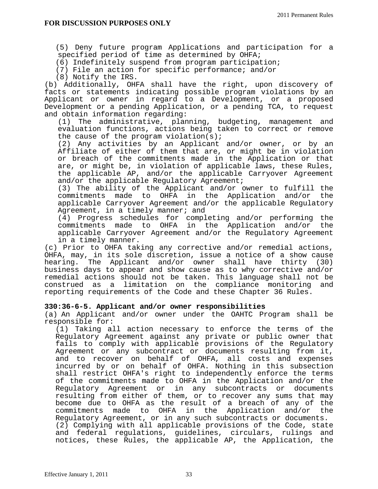(5) Deny future program Applications and participation for a specified period of time as determined by OHFA;

(6) Indefinitely suspend from program participation;

(7) File an action for specific performance; and/or

(8) Notify the IRS.

(b) Additionally, OHFA shall have the right, upon discovery of facts or statements indicating possible program violations by an Applicant or owner in regard to a Development, or a proposed Development or a pending Application, or a pending TCA, to request and obtain information regarding:

(1) The administrative, planning, budgeting, management and evaluation functions, actions being taken to correct or remove the cause of the program violation(s);

(2) Any activities by an Applicant and/or owner, or by an Affiliate of either of them that are, or might be in violation or breach of the commitments made in the Application or that are, or might be, in violation of applicable laws, these Rules, the applicable AP, and/or the applicable Carryover Agreement and/or the applicable Regulatory Agreement;

(3) The ability of the Applicant and/or owner to fulfill the commitments made to OHFA in the Application and/or the applicable Carryover Agreement and/or the applicable Regulatory Agreement, in a timely manner; and

(4) Progress schedules for completing and/or performing the commitments made to OHFA in the Application and/or the applicable Carryover Agreement and/or the Regulatory Agreement in a timely manner.

(c) Prior to OHFA taking any corrective and/or remedial actions, OHFA, may, in its sole discretion, issue a notice of a show cause hearing. The Applicant and/or owner shall have thirty (30) business days to appear and show cause as to why corrective and/or remedial actions should not be taken. This language shall not be construed as a limitation on the compliance monitoring and reporting requirements of the Code and these Chapter 36 Rules.

## **330:36-6-5. Applicant and/or owner responsibilities**

(a) An Applicant and/or owner under the OAHTC Program shall be responsible for:

 (1) Taking all action necessary to enforce the terms of the Regulatory Agreement against any private or public owner that fails to comply with applicable provisions of the Regulatory Agreement or any subcontract or documents resulting from it, and to recover on behalf of OHFA, all costs and expenses incurred by or on behalf of OHFA. Nothing in this subsection shall restrict OHFA's right to independently enforce the terms of the commitments made to OHFA in the Application and/or the Regulatory Agreement or in any subcontracts or documents resulting from either of them, or to recover any sums that may become due to OHFA as the result of a breach of any of the commitments made to OHFA in the Application and/or the Regulatory Agreement, or in any such subcontracts or documents. (2) Complying with all applicable provisions of the Code, state and federal regulations, guidelines, circulars, rulings and notices, these Rules, the applicable AP, the Application, the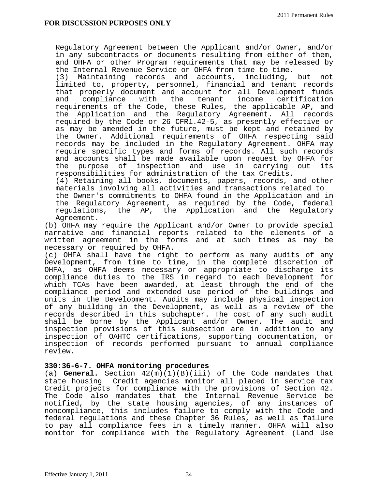Regulatory Agreement between the Applicant and/or Owner, and/or in any subcontracts or documents resulting from either of them, and OHFA or other Program requirements that may be released by the Internal Revenue Service or OHFA from time to time.

 (3) Maintaining records and accounts, including, but not limited to, property, personnel, financial and tenant records that properly document and account for all Development funds and compliance with the tenant income certification requirements of the Code, these Rules, the applicable AP, and the Application and the Regulatory Agreement. All records required by the Code or 26 CFR1.42-5, as presently effective or as may be amended in the future, must be kept and retained by the Owner. Additional requirements of OHFA respecting said records may be included in the Regulatory Agreement. OHFA may require specific types and forms of records. All such records and accounts shall be made available upon request by OHFA for the purpose of inspection and use in carrying out its responsibilities for administration of the tax Credits.

 (4) Retaining all books, documents, papers, records, and other materials involving all activities and transactions related to

 the Owner's commitments to OHFA found in the Application and in the Regulatory Agreement, as required by the Code, federal regulations, the AP, the Application and the Regulatory Agreement.

(b) OHFA may require the Applicant and/or Owner to provide special narrative and financial reports related to the elements of a written agreement in the forms and at such times as may be necessary or required by OHFA.

(c) OHFA shall have the right to perform as many audits of any Development, from time to time, in the complete discretion of OHFA, as OHFA deems necessary or appropriate to discharge its compliance duties to the IRS in regard to each Development for which TCAs have been awarded, at least through the end of the compliance period and extended use period of the buildings and units in the Development. Audits may include physical inspection of any building in the Development, as well as a review of the records described in this subchapter. The cost of any such audit shall be borne by the Applicant and/or Owner. The audit and inspection provisions of this subsection are in addition to any inspection of OAHTC certifications, supporting documentation, or inspection of records performed pursuant to annual compliance review.

## **330:36-6-7. OHFA monitoring procedures**

(a) **General.** Section 42(m)(1)(B)(iii) of the Code mandates that state housing Credit agencies monitor all placed in service tax Credit projects for compliance with the provisions of Section 42. The Code also mandates that the Internal Revenue Service be notified, by the state housing agencies, of any instances of noncompliance, this includes failure to comply with the Code and federal regulations and these Chapter 36 Rules, as well as failure to pay all compliance fees in a timely manner. OHFA will also monitor for compliance with the Regulatory Agreement (Land Use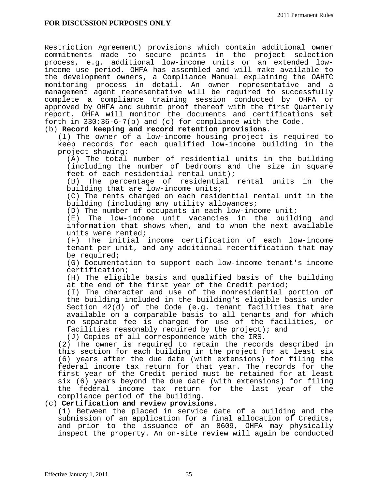Restriction Agreement) provisions which contain additional owner commitments made to secure points in the project selection process, e.g. additional low-income units or an extended lowincome use period. OHFA has assembled and will make available to the development owners**,** a Compliance Manual explaining the OAHTC monitoring process in detail. An owner representative and a management agent representative will be required to successfully complete a compliance training session conducted by OHFA or approved by OHFA and submit proof thereof with the first Quarterly report. OHFA will monitor the documents and certifications set forth in 330:36-6-7(b) and (c) for compliance with the Code.

## (b) **Record keeping and record retention provisions**.

(1) The owner of a low-income housing project is required to keep records for each qualified low-income building in the project showing:

(A) The total number of residential units in the building (including the number of bedrooms and the size in square feet of each residential rental unit);

(B) The percentage of residential rental units in the building that are low-income units;

(C) The rents charged on each residential rental unit in the building (including any utility allowances;

(D) The number of occupants in each low-income unit;

(E) The low-income unit vacancies in the building and information that shows when, and to whom the next available units were rented;

(F) The initial income certification of each low-income tenant per unit, and any additional recertification that may be required;

(G) Documentation to support each low-income tenant's income certification;

(H) The eligible basis and qualified basis of the building at the end of the first year of the Credit period;

(I) The character and use of the nonresidential portion of the building included in the building's eligible basis under Section 42(d) of the Code (e.g. tenant facilities that are available on a comparable basis to all tenants and for which no separate fee is charged for use of the facilities, or facilities reasonably required by the project); and

(J) Copies of all correspondence with the IRS.

(2) The owner is required to retain the records described in this section for each building in the project for at least six (6) years after the due date (with extensions) for filing the federal income tax return for that year. The records for the first year of the Credit period must be retained for at least six (6) years beyond the due date (with extensions) for filing the federal income tax return for the last year of the compliance period of the building.

# (c) **Certification and review provisions.**

(1) Between the placed in service date of a building and the submission of an application for a final allocation of Credits, and prior to the issuance of an 8609, OHFA may physically inspect the property. An on-site review will again be conducted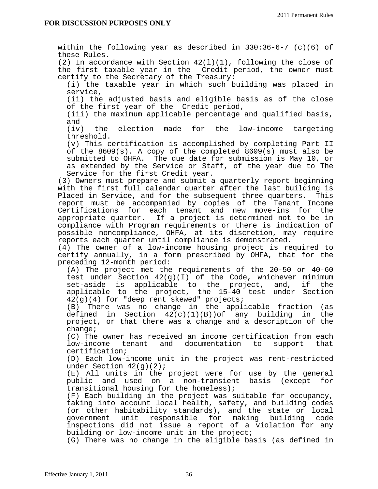within the following year as described in 330:36-6-7 (c)(6) of these Rules.

(2) In accordance with Section 42(l)(1), following the close of the first taxable year in the Credit period, the owner must certify to the Secretary of the Treasury:

(i) the taxable year in which such building was placed in service,

(ii) the adjusted basis and eligible basis as of the close of the first year of the Credit period,

(iii) the maximum applicable percentage and qualified basis, and

(iv) the election made for the low-income targeting threshold.

(v) This certification is accomplished by completing Part II of the 8609(s). A copy of the completed 8609(s) must also be submitted to OHFA. The due date for submission is May 10, or as extended by the Service or Staff, of the year due to The Service for the first Credit year.

(3) Owners must prepare and submit a quarterly report beginning with the first full calendar quarter after the last building is Placed in Service, and for the subsequent three quarters. This report must be accompanied by copies of the Tenant Income Certifications for each tenant and new move-ins for the appropriate quarter. If a project is determined not to be in compliance with Program requirements or there is indication of possible noncompliance, OHFA, at its discretion, may require reports each quarter until compliance is demonstrated.

(4) The owner of a low-income housing project is required to certify annually, in a form prescribed by OHFA, that for the preceding 12-month period:

(A) The project met the requirements of the 20-50 or 40-60 test under Section 42(g)(I) of the Code, whichever minimum set-aside is applicable to the project, and, if the applicable to the project, the 15-40 test under Section 42(g)(4) for "deep rent skewed" projects;

(B) There was no change in the applicable fraction (as defined in Section  $42(c)(1)(B))$  of any building in the project, or that there was a change and a description of the change;

(C) The owner has received an income certification from each low-income tenant and documentation to support that certification;

(D) Each low-income unit in the project was rent-restricted under Section  $42(g)(2)$ ;

(E) All units in the project were for use by the general public and used on a non-transient basis (except for transitional housing for the homeless);

(F) Each building in the project was suitable for occupancy, taking into account local health, safety, and building codes (or other habitability standards), and the state or local government unit responsible for making building code inspections did not issue a report of a violation for any building or low-income unit in the project;

(G) There was no change in the eligible basis (as defined in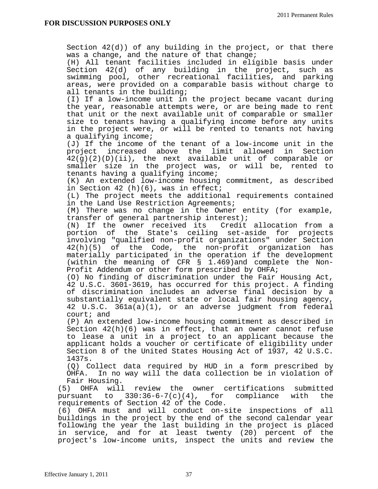Section 42(d)) of any building in the project, or that there was a change, and the nature of that change; (H) All tenant facilities included in eligible basis under Section 42(d) of any building in the project, such as swimming pool, other recreational facilities, and parking areas, were provided on a comparable basis without charge to all tenants in the building; (I) If a low-income unit in the project became vacant during the year, reasonable attempts were, or are being made to rent that unit or the next available unit of comparable or smaller size to tenants having a qualifying income before any units in the project were, or will be rented to tenants not having a qualifying income; (J) If the income of the tenant of a low-income unit in the project increased above the limit allowed in Section 42(g)(2)(D)(ii), the next available unit of comparable or smaller size in the project was, or will be, rented to tenants having a qualifying income; (K) An extended low-income housing commitment, as described in Section 42 (h)(6), was in effect; (L) The project meets the additional requirements contained in the Land Use Restriction Agreements; (M) There was no change in the Owner entity (for example, transfer of general partnership interest); (N) If the owner received its Credit allocation from a portion of the State's ceiling set-aside for projects involving "qualified non-profit organizations" under Section 42(h)(5) of the Code, the non-profit organization has materially participated in the operation if the development (within the meaning of CFR § 1.469)and complete the Non-Profit Addendum or other form prescribed by OHFA; (O) No finding of discrimination under the Fair Housing Act, 42 U.S.C. 3601-3619, has occurred for this project. A finding of discrimination includes an adverse final decision by a substantially equivalent state or local fair housing agency, 42 U.S.C. 361a(a)(1), or an adverse judgment from federal court; and (P) An extended low-income housing commitment as described in Section 42(h)(6) was in effect, that an owner cannot refuse to lease a unit in a project to an applicant because the applicant holds a voucher or certificate of eligibility under Section 8 of the United States Housing Act of 1937, 42 U.S.C. 1437s. (Q) Collect data required by HUD in a form prescribed by OHFA. In no way will the data collection be in violation of Fair Housing. (5) OHFA will review the owner certifications submitted pursuant to 330:36-6-7(c)(4), for compliance with the requirements of Section 42 of the Code. (6) OHFA must and will conduct on-site inspections of all buildings in the project by the end of the second calendar year following the year the last building in the project is placed in service, and for at least twenty (20) percent of the project's low-income units, inspect the units and review the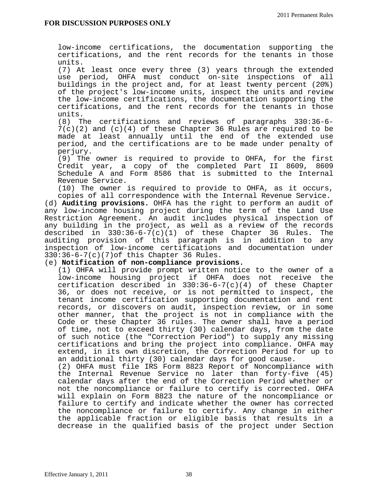low-income certifications, the documentation supporting the certifications, and the rent records for the tenants in those units.

(7) At least once every three (3) years through the extended use period, OHFA must conduct on-site inspections of all buildings in the project and, for at least twenty percent (20%) of the project's low-income units, inspect the units and review the low-income certifications, the documentation supporting the certifications, and the rent records for the tenants in those units.

(8) The certifications and reviews of paragraphs 330:36-6- 7(c)(2) and (c)(4) of these Chapter 36 Rules are required to be made at least annually until the end of the extended use period, and the certifications are to be made under penalty of perjury.

(9) The owner is required to provide to OHFA, for the first Credit year, a copy of the completed Part II 8609, 8609 Schedule A and Form 8586 that is submitted to the Internal Revenue Service.

(10) The owner is required to provide to OHFA, as it occurs, copies of all correspondence with the Internal Revenue Service.

(d) **Auditing provisions.** OHFA has the right to perform an audit of any low-income housing project during the term of the Land Use Restriction Agreement. An audit includes physical inspection of any building in the project, as well as a review of the records described in 330:36-6-7(c)(1) of these Chapter 36 Rules. The auditing provision of this paragraph is in addition to any inspection of low-income certifications and documentation under 330:36-6-7(c)(7)of this Chapter 36 Rules.

## (e) **Notification of non-compliance provisions.**

(1) OHFA will provide prompt written notice to the owner of a low-income housing project if OHFA does not receive the certification described in 330:36-6-7(c)(4) of these Chapter 36, or does not receive, or is not permitted to inspect, the tenant income certification supporting documentation and rent records, or discovers on audit, inspection review, or in some other manner, that the project is not in compliance with the Code or these Chapter 36 rules. The owner shall have a period of time, not to exceed thirty (30) calendar days, from the date of such notice (the "Correction Period") to supply any missing certifications and bring the project into compliance. OHFA may extend, in its own discretion, the Correction Period for up to an additional thirty (30) calendar days for good cause.

(2) OHFA must file IRS Form 8823 Report of Noncompliance with the Internal Revenue Service no later than forty-five (45) calendar days after the end of the Correction Period whether or not the noncompliance or failure to certify is corrected. OHFA will explain on Form 8823 the nature of the noncompliance or failure to certify and indicate whether the owner has corrected the noncompliance or failure to certify. Any change in either the applicable fraction or eligible basis that results in a decrease in the qualified basis of the project under Section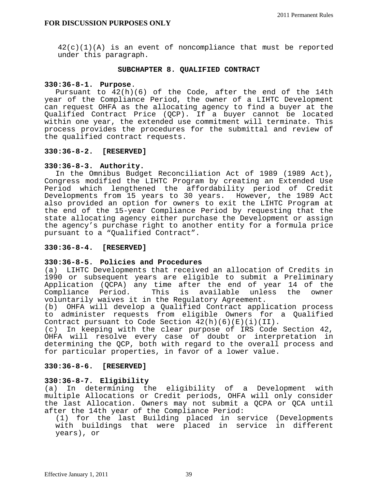42(c)(1)(A) is an event of noncompliance that must be reported under this paragraph.

#### **SUBCHAPTER 8. QUALIFIED CONTRACT**

## **330:36-8-1. Purpose**.

Pursuant to  $42(h)(6)$  of the Code, after the end of the 14th year of the Compliance Period, the owner of a LIHTC Development can request OHFA as the allocating agency to find a buyer at the Qualified Contract Price (QCP). If a buyer cannot be located within one year, the extended use commitment will terminate. This process provides the procedures for the submittal and review of the qualified contract requests.

## **330:36-8-2. [RESERVED]**

## **330:36-8-3. Authority.**

 In the Omnibus Budget Reconciliation Act of 1989 (1989 Act), Congress modified the LIHTC Program by creating an Extended Use Period which lengthened the affordability period of Credit Developments from 15 years to 30 years. However, the 1989 Act also provided an option for owners to exit the LIHTC Program at the end of the 15-year Compliance Period by requesting that the state allocating agency either purchase the Development or assign the agency's purchase right to another entity for a formula price pursuant to a "Qualified Contract".

## **330:36-8-4. [RESERVED]**

## **330:36-8-5. Policies and Procedures**

(a) LIHTC Developments that received an allocation of Credits in 1990 or subsequent years are eligible to submit a Preliminary Application (QCPA) any time after the end of year 14 of the<br>Compliance Period. This is available unless the owner Compliance Period. This is available unless the owner voluntarily waives it in the Regulatory Agreement.

(b) OHFA will develop a Qualified Contract application process to administer requests from eligible Owners for a Qualified Contract pursuant to Code Section  $42(h)(6)(E)(i)(II)$ .

(c) In keeping with the clear purpose of IRS Code Section 42, OHFA will resolve every case of doubt or interpretation in determining the QCP, both with regard to the overall process and for particular properties, in favor of a lower value.

## **330:36-8-6. [RESERVED]**

# **330:36-8-7. Eligibility**

(a) In determining the eligibility of a Development with multiple Allocations or Credit periods, OHFA will only consider the last Allocation. Owners may not submit a QCPA or QCA until after the 14th year of the Compliance Period:

 (1) for the last Building placed in service (Developments with buildings that were placed in service in different years), or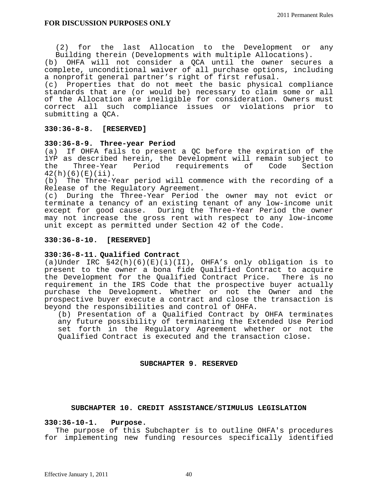(2) for the last Allocation to the Development or any Building therein (Developments with multiple Allocations).

(b) OHFA will not consider a QCA until the owner secures a complete, unconditional waiver of all purchase options, including a nonprofit general partner's right of first refusal.

(c) Properties that do not meet the basic physical compliance standards that are (or would be) necessary to claim some or all of the Allocation are ineligible for consideration. Owners must correct all such compliance issues or violations prior to submitting a QCA.

## **330:36-8-8. [RESERVED]**

#### **330:36-8-9. Three-year Period**

(a) If OHFA fails to present a QC before the expiration of the 1YP as described herein, the Development will remain subject to the Three-Year Period requirements of Code Section  $42(h)(6)(E)(ii)$ .

(b) The Three-Year period will commence with the recording of a Release of the Regulatory Agreement.

(c) During the Three-Year Period the owner may not evict or terminate a tenancy of an existing tenant of any low-income unit except for good cause. During the Three-Year Period the owner may not increase the gross rent with respect to any low-income unit except as permitted under Section 42 of the Code.

#### **330:36-8-10. [RESERVED]**

## **330:36-8-11. Qualified Contract**

(a)Under IRC §42(h)(6)(E)(i)(II), OHFA's only obligation is to present to the owner a bona fide Qualified Contract to acquire the Development for the Qualified Contract Price. There is no requirement in the IRS Code that the prospective buyer actually purchase the Development. Whether or not the Owner and the prospective buyer execute a contract and close the transaction is beyond the responsibilities and control of OHFA.

(b) Presentation of a Qualified Contract by OHFA terminates any future possibility of terminating the Extended Use Period set forth in the Regulatory Agreement whether or not the Qualified Contract is executed and the transaction close.

#### **SUBCHAPTER 9. RESERVED**

#### **SUBCHAPTER 10. CREDIT ASSISTANCE/STIMULUS LEGISLATION**

#### **330:36-10-1. Purpose.**

 The purpose of this Subchapter is to outline OHFA's procedures for implementing new funding resources specifically identified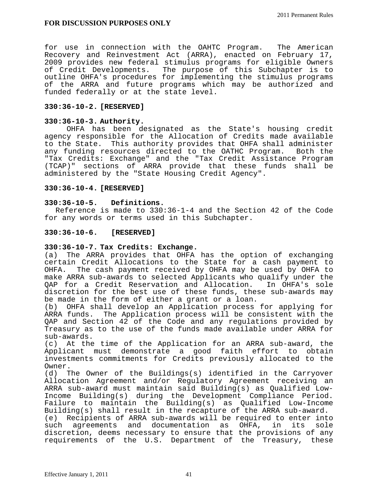for use in connection with the OAHTC Program. The American Recovery and Reinvestment Act (ARRA), enacted on February 17, 2009 provides new federal stimulus programs for eligible Owners of Credit Developments. The purpose of this Subchapter is to outline OHFA's procedures for implementing the stimulus programs of the ARRA and future programs which may be authorized and funded federally or at the state level.

## **330:36-10-2. [RESERVED]**

## **330:36-10-3. Authority.**

OHFA has been designated as the State's housing credit agency responsible for the Allocation of Credits made available to the State. This authority provides that OHFA shall administer any funding resources directed to the OATHC Program. Both the "Tax Credits: Exchange" and the "Tax Credit Assistance Program (TCAP)" sections of ARRA provide that these funds shall be administered by the "State Housing Credit Agency".

## **330:36-10-4. [RESERVED]**

## **330:36-10-5. Definitions.**

 Reference is made to 330:36-1-4 and the Section 42 of the Code for any words or terms used in this Subchapter.

## **330:36-10-6. [RESERVED]**

## **330:36-10-7. Tax Credits: Exchange.**

(a) The ARRA provides that OHFA has the option of exchanging certain Credit Allocations to the State for a cash payment to OHFA. The cash payment received by OHFA may be used by OHFA to make ARRA sub-awards to selected Applicants who qualify under the QAP for a Credit Reservation and Allocation. In OHFA's sole discretion for the best use of these funds, these sub-awards may be made in the form of either a grant or a loan.

(b) OHFA shall develop an Application process for applying for ARRA funds. The Application process will be consistent with the QAP and Section 42 of the Code and any regulations provided by Treasury as to the use of the funds made available under ARRA for sub-awards.

(c) At the time of the Application for an ARRA sub-award, the Applicant must demonstrate a good faith effort to obtain investments commitments for Credits previously allocated to the Owner.

(d) The Owner of the Buildings(s) identified in the Carryover Allocation Agreement and/or Regulatory Agreement receiving an ARRA sub-award must maintain said Building(s) as Qualified Low-Income Building(s) during the Development Compliance Period. Failure to maintain the Building(s) as Qualified Low-Income Building(s) shall result in the recapture of the ARRA sub-award. (e) Recipients of ARRA sub-awards will be required to enter into such agreements and documentation as OHFA, in its sole discretion, deems necessary to ensure that the provisions of any requirements of the U.S. Department of the Treasury, these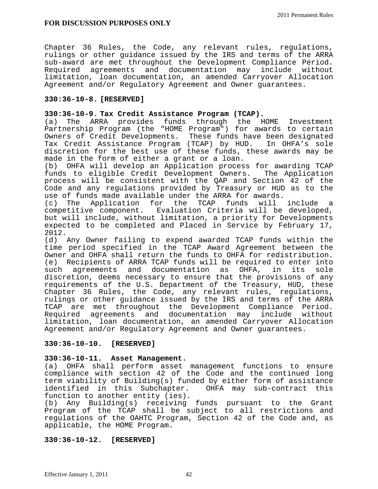Chapter 36 Rules, the Code, any relevant rules, regulations, rulings or other guidance issued by the IRS and terms of the ARRA sub-award are met throughout the Development Compliance Period. Required agreements and documentation may include without limitation, loan documentation, an amended Carryover Allocation Agreement and/or Regulatory Agreement and Owner guarantees.

## **330:36-10-8. [RESERVED]**

## **330:36-10-9. Tax Credit Assistance Program (TCAP).**

(a) The ARRA provides funds through the HOME Investment Partnership Program (the "HOME Program") for awards to certain Owners of Credit Developments. These funds have been designated Tax Credit Assistance Program (TCAP) by HUD. In OHFA's sole discretion for the best use of these funds, these awards may be made in the form of either a grant or a loan.

(b) OHFA will develop an Application process for awarding TCAP funds to eligible Credit Development Owners. The Application process will be consistent with the QAP and Section 42 of the Code and any regulations provided by Treasury or HUD as to the use of funds made available under the ARRA for awards.

(c) The Application for the TCAP funds will include a competitive component. Evaluation Criteria will be developed, but will include, without limitation, a priority for Developments expected to be completed and Placed in Service by February 17, 2012.

(d) Any Owner failing to expend awarded TCAP funds within the time period specified in the TCAP Award Agreement between the Owner and OHFA shall return the funds to OHFA for redistribution. (e) Recipients of ARRA TCAP funds will be required to enter into such agreements and documentation as OHFA, in its sole discretion, deems necessary to ensure that the provisions of any requirements of the U.S. Department of the Treasury, HUD, these Chapter 36 Rules, the Code, any relevant rules, regulations, rulings or other guidance issued by the IRS and terms of the ARRA TCAP are met throughout the Development Compliance Period. Required agreements and documentation may include without limitation, loan documentation, an amended Carryover Allocation Agreement and/or Regulatory Agreement and Owner guarantees.

# **330:36-10-10. [RESERVED]**

## **330:36-10-11. Asset Management.**

(a) OHFA shall perform asset management functions to ensure compliance with section 42 of the Code and the continued long term viability of Building(s) funded by either form of assistance identified in this Subchapter. OHFA may sub-contract this function to another entity (ies).

(b) Any Building(s) receiving funds pursuant to the Grant Program of the TCAP shall be subject to all restrictions and regulations of the OAHTC Program, Section 42 of the Code and, as applicable, the HOME Program.

## **330:36-10-12. [RESERVED]**